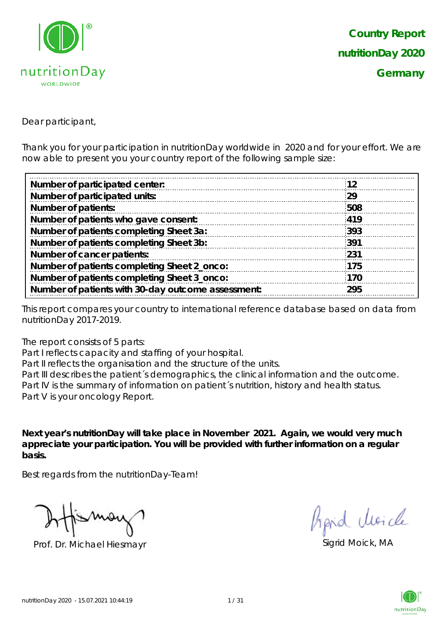

Dear participant,

Thank you for your participation in nutritionDay worldwide in 2020 and for your effort. We are now able to present you your country report of the following sample size:

| 12  |
|-----|
| 29  |
| 508 |
| 419 |
| 393 |
| 391 |
| 231 |
| 175 |
| 170 |
| 295 |
|     |

This report compares your country to international reference database based on data from nutritionDay 2017-2019.

The report consists of 5 parts:

Part I reflects capacity and staffing of your hospital.

Part II reflects the organisation and the structure of the units.

Part III describes the patient's demographics, the clinical information and the outcome. Part IV is the summary of information on patient´s nutrition, history and health status. Part V is your oncology Report.

**Next year's nutritionDay will take place in November 2021. Again, we would very much appreciate your participation. You will be provided with further information on a regular basis.**

Best regards from the nutritionDay-Team!

Prof. Dr. Michael Hiesmayr Sigrid Moick, MA

hard Moich

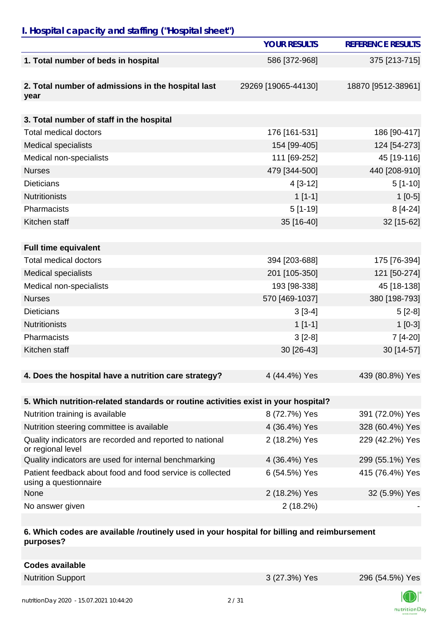## *I. Hospital capacity and staffing ("Hospital sheet")*

|                                                                                    | <b>YOUR RESULTS</b> | <b>REFERENCE RESULTS</b> |
|------------------------------------------------------------------------------------|---------------------|--------------------------|
| 1. Total number of beds in hospital                                                | 586 [372-968]       | 375 [213-715]            |
| 2. Total number of admissions in the hospital last<br>year                         | 29269 [19065-44130] | 18870 [9512-38961]       |
|                                                                                    |                     |                          |
| 3. Total number of staff in the hospital                                           |                     |                          |
| <b>Total medical doctors</b>                                                       | 176 [161-531]       | 186 [90-417]             |
| <b>Medical specialists</b>                                                         | 154 [99-405]        | 124 [54-273]             |
| Medical non-specialists                                                            | 111 [69-252]        | 45 [19-116]              |
| <b>Nurses</b>                                                                      | 479 [344-500]       | 440 [208-910]            |
| <b>Dieticians</b>                                                                  | $4[3-12]$           | $5[1-10]$                |
| <b>Nutritionists</b>                                                               | $1[1-1]$            | $1[0-5]$                 |
| Pharmacists                                                                        | $5[1-19]$           | 8 [4-24]                 |
| Kitchen staff                                                                      | 35 [16-40]          | 32 [15-62]               |
|                                                                                    |                     |                          |
| <b>Full time equivalent</b>                                                        |                     |                          |
| <b>Total medical doctors</b>                                                       | 394 [203-688]       | 175 [76-394]             |
| <b>Medical specialists</b>                                                         | 201 [105-350]       | 121 [50-274]             |
| Medical non-specialists                                                            | 193 [98-338]        | 45 [18-138]              |
| <b>Nurses</b>                                                                      | 570 [469-1037]      | 380 [198-793]            |
| <b>Dieticians</b>                                                                  | $3[3-4]$            | $5[2-8]$                 |
| <b>Nutritionists</b>                                                               | $1[1-1]$            | $1[0-3]$                 |
| Pharmacists                                                                        | $3[2-8]$            | 7 [4-20]                 |
| Kitchen staff                                                                      | 30 [26-43]          | 30 [14-57]               |
| 4. Does the hospital have a nutrition care strategy?                               | 4 (44.4%) Yes       | 439 (80.8%) Yes          |
|                                                                                    |                     |                          |
| 5. Which nutrition-related standards or routine activities exist in your hospital? |                     |                          |
| Nutrition training is available                                                    | 8 (72.7%) Yes       | 391 (72.0%) Yes          |
| Nutrition steering committee is available                                          | 4 (36.4%) Yes       | 328 (60.4%) Yes          |
| Quality indicators are recorded and reported to national<br>or regional level      | 2 (18.2%) Yes       | 229 (42.2%) Yes          |
| Quality indicators are used for internal benchmarking                              | 4 (36.4%) Yes       | 299 (55.1%) Yes          |
| Patient feedback about food and food service is collected<br>using a questionnaire | 6 (54.5%) Yes       | 415 (76.4%) Yes          |
| None                                                                               | 2 (18.2%) Yes       | 32 (5.9%) Yes            |
| No answer given                                                                    | 2(18.2%)            |                          |

#### **6. Which codes are available /routinely used in your hospital for billing and reimbursement purposes?**

| <b>Codes available</b> |
|------------------------|
|------------------------|

Nutrition Support 3 (27.3%) Yes 296 (54.5%) Yes

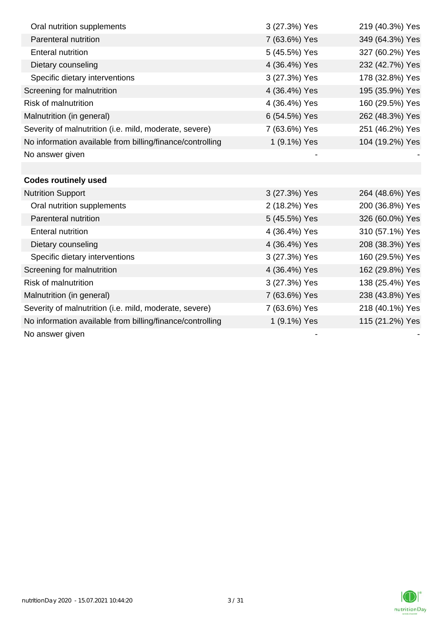| Oral nutrition supplements                                | 3 (27.3%) Yes | 219 (40.3%) Yes |
|-----------------------------------------------------------|---------------|-----------------|
| Parenteral nutrition                                      | 7 (63.6%) Yes | 349 (64.3%) Yes |
| <b>Enteral nutrition</b>                                  | 5 (45.5%) Yes | 327 (60.2%) Yes |
| Dietary counseling                                        | 4 (36.4%) Yes | 232 (42.7%) Yes |
| Specific dietary interventions                            | 3 (27.3%) Yes | 178 (32.8%) Yes |
| Screening for malnutrition                                | 4 (36.4%) Yes | 195 (35.9%) Yes |
| Risk of malnutrition                                      | 4 (36.4%) Yes | 160 (29.5%) Yes |
| Malnutrition (in general)                                 | 6 (54.5%) Yes | 262 (48.3%) Yes |
| Severity of malnutrition (i.e. mild, moderate, severe)    | 7 (63.6%) Yes | 251 (46.2%) Yes |
| No information available from billing/finance/controlling | 1 (9.1%) Yes  | 104 (19.2%) Yes |
| No answer given                                           |               |                 |
|                                                           |               |                 |
| <b>Codes routinely used</b>                               |               |                 |
| <b>Nutrition Support</b>                                  | 3 (27.3%) Yes | 264 (48.6%) Yes |
| Oral nutrition supplements                                | 2 (18.2%) Yes | 200 (36.8%) Yes |
| Parenteral nutrition                                      | 5 (45.5%) Yes | 326 (60.0%) Yes |
| <b>Enteral nutrition</b>                                  | 4 (36.4%) Yes | 310 (57.1%) Yes |
| Dietary counseling                                        | 4 (36.4%) Yes | 208 (38.3%) Yes |
| Specific dietary interventions                            | 3 (27.3%) Yes | 160 (29.5%) Yes |
| Screening for malnutrition                                | 4 (36.4%) Yes | 162 (29.8%) Yes |
| <b>Risk of malnutrition</b>                               | 3 (27.3%) Yes | 138 (25.4%) Yes |
| Malnutrition (in general)                                 | 7 (63.6%) Yes | 238 (43.8%) Yes |
| Severity of malnutrition (i.e. mild, moderate, severe)    | 7 (63.6%) Yes | 218 (40.1%) Yes |
| No information available from billing/finance/controlling | 1 (9.1%) Yes  | 115 (21.2%) Yes |
| No answer given                                           |               |                 |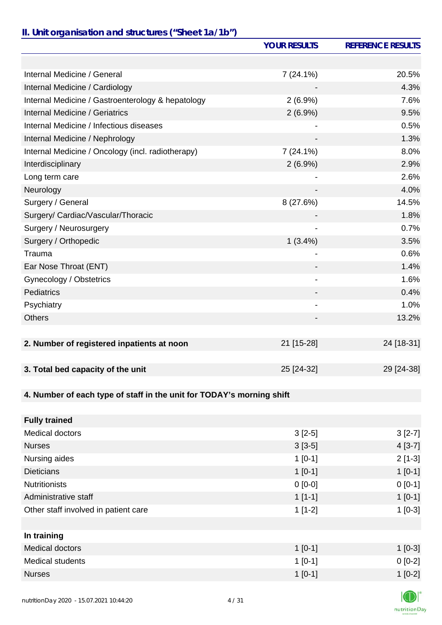# *II. Unit organisation and structures ("Sheet 1a/1b")*

|                                                                       | <b>YOUR RESULTS</b>          | <b>REFERENCE RESULTS</b> |
|-----------------------------------------------------------------------|------------------------------|--------------------------|
|                                                                       |                              |                          |
| Internal Medicine / General                                           | $7(24.1\%)$                  | 20.5%                    |
| Internal Medicine / Cardiology                                        |                              | 4.3%                     |
| Internal Medicine / Gastroenterology & hepatology                     | $2(6.9\%)$                   | 7.6%                     |
| Internal Medicine / Geriatrics                                        | $2(6.9\%)$                   | 9.5%                     |
| Internal Medicine / Infectious diseases                               |                              | 0.5%                     |
| Internal Medicine / Nephrology                                        |                              | 1.3%                     |
| Internal Medicine / Oncology (incl. radiotherapy)                     | $7(24.1\%)$                  | 8.0%                     |
| Interdisciplinary                                                     | $2(6.9\%)$                   | 2.9%                     |
| Long term care                                                        |                              | 2.6%                     |
| Neurology                                                             |                              | 4.0%                     |
| Surgery / General                                                     | 8(27.6%)                     | 14.5%                    |
| Surgery/ Cardiac/Vascular/Thoracic                                    |                              | 1.8%                     |
| Surgery / Neurosurgery                                                |                              | 0.7%                     |
| Surgery / Orthopedic                                                  | $1(3.4\%)$                   | 3.5%                     |
| Trauma                                                                | -                            | 0.6%                     |
| Ear Nose Throat (ENT)                                                 |                              | 1.4%                     |
| Gynecology / Obstetrics                                               | $\qquad \qquad \blacksquare$ | 1.6%                     |
| <b>Pediatrics</b>                                                     |                              | 0.4%                     |
| Psychiatry                                                            | $\overline{\phantom{a}}$     | 1.0%                     |
| <b>Others</b>                                                         |                              | 13.2%                    |
|                                                                       |                              |                          |
| 2. Number of registered inpatients at noon                            | 21 [15-28]                   | 24 [18-31]               |
|                                                                       |                              |                          |
| 3. Total bed capacity of the unit                                     | 25 [24-32]                   | 29 [24-38]               |
|                                                                       |                              |                          |
| 4. Number of each type of staff in the unit for TODAY's morning shift |                              |                          |
|                                                                       |                              |                          |
| <b>Fully trained</b>                                                  |                              |                          |
| Medical doctors                                                       | $3[2-5]$                     | $3[2-7]$                 |
| <b>Nurses</b>                                                         | $3[3-5]$                     | $4[3-7]$                 |
| Nursing aides                                                         | $1[0-1]$                     | $2[1-3]$                 |
| <b>Dieticians</b>                                                     | $1[0-1]$                     | $1[0-1]$                 |
| <b>Nutritionists</b>                                                  | $0 [0-0]$                    | $0[0-1]$                 |
| Administrative staff                                                  | $1[1-1]$                     | $1[0-1]$                 |
| Other staff involved in patient care                                  | $1[1-2]$                     | $1[0-3]$                 |
|                                                                       |                              |                          |
| In training                                                           |                              |                          |
| Medical doctors                                                       | $1[0-1]$                     | $1[0-3]$                 |
| Medical students                                                      | $1[0-1]$                     | $0[0-2]$                 |
| <b>Nurses</b>                                                         | $1[0-1]$                     | $1[0-2]$                 |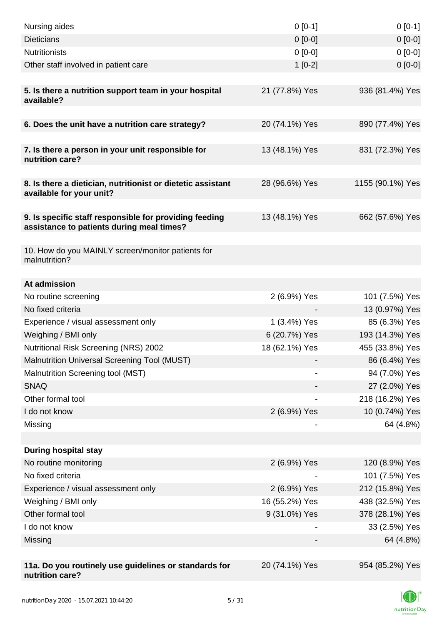| Nursing aides                                                                                       | $0[0-1]$       | $0[0-1]$         |
|-----------------------------------------------------------------------------------------------------|----------------|------------------|
| <b>Dieticians</b>                                                                                   | $0 [0-0]$      | $0[0-0]$         |
| <b>Nutritionists</b>                                                                                | $0 [0-0]$      | $0[0-0]$         |
| Other staff involved in patient care                                                                | $1[0-2]$       | $0 [0-0]$        |
|                                                                                                     |                |                  |
| 5. Is there a nutrition support team in your hospital<br>available?                                 | 21 (77.8%) Yes | 936 (81.4%) Yes  |
| 6. Does the unit have a nutrition care strategy?                                                    | 20 (74.1%) Yes | 890 (77.4%) Yes  |
|                                                                                                     |                |                  |
| 7. Is there a person in your unit responsible for<br>nutrition care?                                | 13 (48.1%) Yes | 831 (72.3%) Yes  |
| 8. Is there a dietician, nutritionist or dietetic assistant<br>available for your unit?             | 28 (96.6%) Yes | 1155 (90.1%) Yes |
|                                                                                                     |                |                  |
| 9. Is specific staff responsible for providing feeding<br>assistance to patients during meal times? | 13 (48.1%) Yes | 662 (57.6%) Yes  |
|                                                                                                     |                |                  |
| 10. How do you MAINLY screen/monitor patients for<br>malnutrition?                                  |                |                  |
| At admission                                                                                        |                |                  |
| No routine screening                                                                                | 2 (6.9%) Yes   | 101 (7.5%) Yes   |
| No fixed criteria                                                                                   |                | 13 (0.97%) Yes   |
| Experience / visual assessment only                                                                 | 1 (3.4%) Yes   | 85 (6.3%) Yes    |
| Weighing / BMI only                                                                                 | 6 (20.7%) Yes  | 193 (14.3%) Yes  |
| <b>Nutritional Risk Screening (NRS) 2002</b>                                                        | 18 (62.1%) Yes | 455 (33.8%) Yes  |
| Malnutrition Universal Screening Tool (MUST)                                                        |                | 86 (6.4%) Yes    |
| Malnutrition Screening tool (MST)                                                                   |                | 94 (7.0%) Yes    |
| <b>SNAQ</b>                                                                                         |                | 27 (2.0%) Yes    |
| Other formal tool                                                                                   |                | 218 (16.2%) Yes  |
| I do not know                                                                                       | 2 (6.9%) Yes   | 10 (0.74%) Yes   |
| Missing                                                                                             |                | 64 (4.8%)        |
|                                                                                                     |                |                  |
| <b>During hospital stay</b>                                                                         |                |                  |
| No routine monitoring                                                                               | 2 (6.9%) Yes   | 120 (8.9%) Yes   |
| No fixed criteria                                                                                   |                | 101 (7.5%) Yes   |
| Experience / visual assessment only                                                                 | 2 (6.9%) Yes   | 212 (15.8%) Yes  |
| Weighing / BMI only                                                                                 | 16 (55.2%) Yes | 438 (32.5%) Yes  |
| Other formal tool                                                                                   | 9 (31.0%) Yes  | 378 (28.1%) Yes  |
| I do not know                                                                                       |                | 33 (2.5%) Yes    |
| Missing                                                                                             |                | 64 (4.8%)        |
|                                                                                                     |                |                  |
| 11a. Do you routinely use guidelines or standards for<br>nutrition care?                            | 20 (74.1%) Yes | 954 (85.2%) Yes  |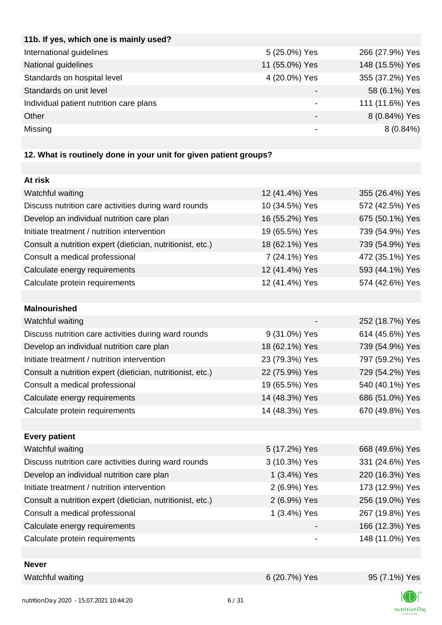| 11b. If yes, which one is mainly used?  |                |                 |
|-----------------------------------------|----------------|-----------------|
| International guidelines                | 5 (25.0%) Yes  | 266 (27.9%) Yes |
| National guidelines                     | 11 (55.0%) Yes | 148 (15.5%) Yes |
| Standards on hospital level             | 4 (20.0%) Yes  | 355 (37.2%) Yes |
| Standards on unit level                 |                | 58 (6.1%) Yes   |
| Individual patient nutrition care plans |                | 111 (11.6%) Yes |
| Other                                   |                | 8 (0.84%) Yes   |
| Missing                                 |                | $8(0.84\%)$     |
|                                         |                |                 |

## **12. What is routinely done in your unit for given patient groups?**

| At risk                                                    |                |                 |
|------------------------------------------------------------|----------------|-----------------|
| Watchful waiting                                           | 12 (41.4%) Yes | 355 (26.4%) Yes |
| Discuss nutrition care activities during ward rounds       | 10 (34.5%) Yes | 572 (42.5%) Yes |
| Develop an individual nutrition care plan                  | 16 (55.2%) Yes | 675 (50.1%) Yes |
| Initiate treatment / nutrition intervention                | 19 (65.5%) Yes | 739 (54.9%) Yes |
| Consult a nutrition expert (dietician, nutritionist, etc.) | 18 (62.1%) Yes | 739 (54.9%) Yes |
| Consult a medical professional                             | 7 (24.1%) Yes  | 472 (35.1%) Yes |
| Calculate energy requirements                              | 12 (41.4%) Yes | 593 (44.1%) Yes |
| Calculate protein requirements                             | 12 (41.4%) Yes | 574 (42.6%) Yes |
|                                                            |                |                 |
| <b>Malnourished</b>                                        |                |                 |
| Watchful waiting                                           |                | 252 (18.7%) Yes |
| Discuss nutrition care activities during ward rounds       | 9 (31.0%) Yes  | 614 (45.6%) Yes |
| Develop an individual nutrition care plan                  | 18 (62.1%) Yes | 739 (54.9%) Yes |
| Initiate treatment / nutrition intervention                | 23 (79.3%) Yes | 797 (59.2%) Yes |
| Consult a nutrition expert (dietician, nutritionist, etc.) | 22 (75.9%) Yes | 729 (54.2%) Yes |
| Consult a medical professional                             | 19 (65.5%) Yes | 540 (40.1%) Yes |
| Calculate energy requirements                              | 14 (48.3%) Yes | 686 (51.0%) Yes |
| Calculate protein requirements                             | 14 (48.3%) Yes | 670 (49.8%) Yes |
|                                                            |                |                 |
| <b>Every patient</b>                                       |                |                 |
| Watchful waiting                                           | 5 (17.2%) Yes  | 668 (49.6%) Yes |
| Discuss nutrition care activities during ward rounds       | 3 (10.3%) Yes  | 331 (24.6%) Yes |
| Develop an individual nutrition care plan                  | 1 (3.4%) Yes   | 220 (16.3%) Yes |
| Initiate treatment / nutrition intervention                | 2 (6.9%) Yes   | 173 (12.9%) Yes |
| Consult a nutrition expert (dietician, nutritionist, etc.) | 2 (6.9%) Yes   | 256 (19.0%) Yes |
| Consult a medical professional                             | 1 (3.4%) Yes   | 267 (19.8%) Yes |
| Calculate energy requirements                              |                | 166 (12.3%) Yes |
| Calculate protein requirements                             |                | 148 (11.0%) Yes |
|                                                            |                |                 |

| N<br>leve |  |
|-----------|--|
|           |  |

Watchful waiting  $6(20.7%)$  Yes  $95(7.1%)$  Yes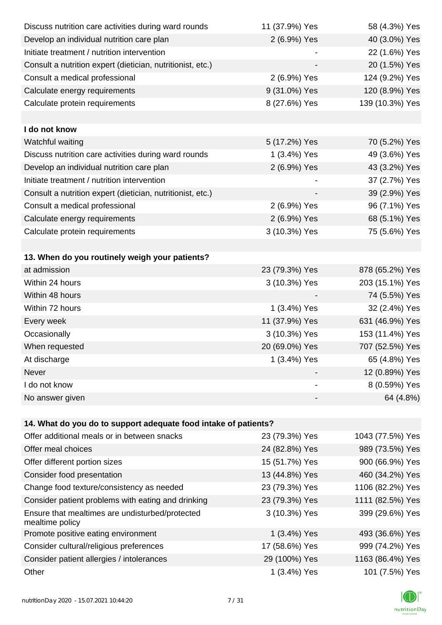| Discuss nutrition care activities during ward rounds               | 11 (37.9%) Yes | 58 (4.3%) Yes    |
|--------------------------------------------------------------------|----------------|------------------|
| Develop an individual nutrition care plan                          | 2 (6.9%) Yes   | 40 (3.0%) Yes    |
| Initiate treatment / nutrition intervention                        |                | 22 (1.6%) Yes    |
| Consult a nutrition expert (dietician, nutritionist, etc.)         |                | 20 (1.5%) Yes    |
| Consult a medical professional                                     | 2 (6.9%) Yes   | 124 (9.2%) Yes   |
| Calculate energy requirements                                      | 9 (31.0%) Yes  | 120 (8.9%) Yes   |
| Calculate protein requirements                                     | 8 (27.6%) Yes  | 139 (10.3%) Yes  |
|                                                                    |                |                  |
| I do not know                                                      |                |                  |
| Watchful waiting                                                   | 5 (17.2%) Yes  | 70 (5.2%) Yes    |
| Discuss nutrition care activities during ward rounds               | 1 (3.4%) Yes   | 49 (3.6%) Yes    |
| Develop an individual nutrition care plan                          | 2 (6.9%) Yes   | 43 (3.2%) Yes    |
| Initiate treatment / nutrition intervention                        |                | 37 (2.7%) Yes    |
| Consult a nutrition expert (dietician, nutritionist, etc.)         |                | 39 (2.9%) Yes    |
| Consult a medical professional                                     | 2 (6.9%) Yes   | 96 (7.1%) Yes    |
| Calculate energy requirements                                      | 2 (6.9%) Yes   | 68 (5.1%) Yes    |
| Calculate protein requirements                                     | 3 (10.3%) Yes  | 75 (5.6%) Yes    |
|                                                                    |                |                  |
| 13. When do you routinely weigh your patients?                     |                |                  |
| at admission                                                       | 23 (79.3%) Yes | 878 (65.2%) Yes  |
| Within 24 hours                                                    | 3 (10.3%) Yes  | 203 (15.1%) Yes  |
| Within 48 hours                                                    |                | 74 (5.5%) Yes    |
| Within 72 hours                                                    | 1 (3.4%) Yes   | 32 (2.4%) Yes    |
| Every week                                                         | 11 (37.9%) Yes | 631 (46.9%) Yes  |
| Occasionally                                                       | 3 (10.3%) Yes  | 153 (11.4%) Yes  |
| When requested                                                     | 20 (69.0%) Yes | 707 (52.5%) Yes  |
| At discharge                                                       | 1 (3.4%) Yes   | 65 (4.8%) Yes    |
| Never                                                              |                | 12 (0.89%) Yes   |
| I do not know                                                      |                | 8 (0.59%) Yes    |
| No answer given                                                    |                | 64 (4.8%)        |
|                                                                    |                |                  |
| 14. What do you do to support adequate food intake of patients?    |                |                  |
| Offer additional meals or in between snacks                        | 23 (79.3%) Yes | 1043 (77.5%) Yes |
| Offer meal choices                                                 | 24 (82.8%) Yes | 989 (73.5%) Yes  |
| Offer different portion sizes                                      | 15 (51.7%) Yes | 900 (66.9%) Yes  |
| Consider food presentation                                         | 13 (44.8%) Yes | 460 (34.2%) Yes  |
| Change food texture/consistency as needed                          | 23 (79.3%) Yes | 1106 (82.2%) Yes |
| Consider patient problems with eating and drinking                 | 23 (79.3%) Yes | 1111 (82.5%) Yes |
| Ensure that mealtimes are undisturbed/protected<br>mealtime policy | 3 (10.3%) Yes  | 399 (29.6%) Yes  |
| Promote positive eating environment                                | 1 (3.4%) Yes   | 493 (36.6%) Yes  |
| Consider cultural/religious preferences                            | 17 (58.6%) Yes | 999 (74.2%) Yes  |
| Consider patient allergies / intolerances                          | 29 (100%) Yes  | 1163 (86.4%) Yes |
| Other                                                              | 1 (3.4%) Yes   | 101 (7.5%) Yes   |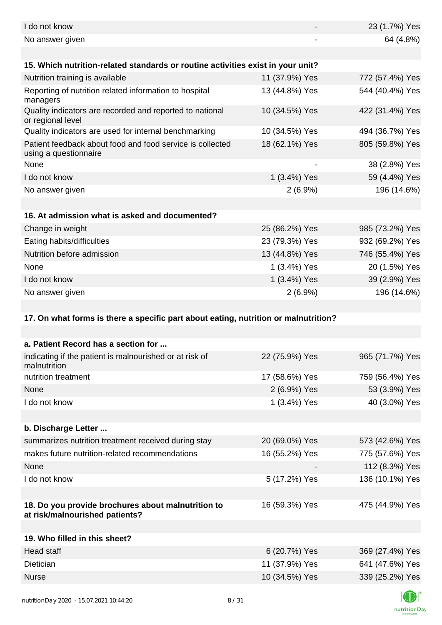| I do not know                                                                        |                              | 23 (1.7%) Yes   |
|--------------------------------------------------------------------------------------|------------------------------|-----------------|
| No answer given                                                                      | $\qquad \qquad \blacksquare$ | 64 (4.8%)       |
|                                                                                      |                              |                 |
| 15. Which nutrition-related standards or routine activities exist in your unit?      |                              |                 |
| Nutrition training is available                                                      | 11 (37.9%) Yes               | 772 (57.4%) Yes |
| Reporting of nutrition related information to hospital<br>managers                   | 13 (44.8%) Yes               | 544 (40.4%) Yes |
| Quality indicators are recorded and reported to national<br>or regional level        | 10 (34.5%) Yes               | 422 (31.4%) Yes |
| Quality indicators are used for internal benchmarking                                | 10 (34.5%) Yes               | 494 (36.7%) Yes |
| Patient feedback about food and food service is collected<br>using a questionnaire   | 18 (62.1%) Yes               | 805 (59.8%) Yes |
| None                                                                                 |                              | 38 (2.8%) Yes   |
| I do not know                                                                        | 1 (3.4%) Yes                 | 59 (4.4%) Yes   |
| No answer given                                                                      | $2(6.9\%)$                   | 196 (14.6%)     |
|                                                                                      |                              |                 |
| 16. At admission what is asked and documented?                                       |                              |                 |
| Change in weight                                                                     | 25 (86.2%) Yes               | 985 (73.2%) Yes |
| Eating habits/difficulties                                                           | 23 (79.3%) Yes               | 932 (69.2%) Yes |
| Nutrition before admission                                                           | 13 (44.8%) Yes               | 746 (55.4%) Yes |
| None                                                                                 | 1 (3.4%) Yes                 | 20 (1.5%) Yes   |
| I do not know                                                                        | 1 (3.4%) Yes                 | 39 (2.9%) Yes   |
| No answer given                                                                      | $2(6.9\%)$                   | 196 (14.6%)     |
|                                                                                      |                              |                 |
| 17. On what forms is there a specific part about eating, nutrition or malnutrition?  |                              |                 |
| a. Patient Record has a section for                                                  |                              |                 |
| indicating if the patient is malnourished or at risk of<br>malnutrition              | 22 (75.9%) Yes               | 965 (71.7%) Yes |
| nutrition treatment                                                                  | 17 (58.6%) Yes               | 759 (56.4%) Yes |
| None                                                                                 | 2 (6.9%) Yes                 | 53 (3.9%) Yes   |
| I do not know                                                                        | 1 (3.4%) Yes                 | 40 (3.0%) Yes   |
|                                                                                      |                              |                 |
| b. Discharge Letter                                                                  |                              |                 |
| summarizes nutrition treatment received during stay                                  | 20 (69.0%) Yes               | 573 (42.6%) Yes |
| makes future nutrition-related recommendations                                       | 16 (55.2%) Yes               | 775 (57.6%) Yes |
| None                                                                                 |                              | 112 (8.3%) Yes  |
| I do not know                                                                        | 5 (17.2%) Yes                | 136 (10.1%) Yes |
|                                                                                      |                              |                 |
| 18. Do you provide brochures about malnutrition to<br>at risk/malnourished patients? | 16 (59.3%) Yes               | 475 (44.9%) Yes |
|                                                                                      |                              |                 |
| 19. Who filled in this sheet?                                                        |                              |                 |
| <b>Head staff</b>                                                                    | 6 (20.7%) Yes                | 369 (27.4%) Yes |
| Dietician                                                                            | 11 (37.9%) Yes               | 641 (47.6%) Yes |
| <b>Nurse</b>                                                                         | 10 (34.5%) Yes               | 339 (25.2%) Yes |
|                                                                                      |                              |                 |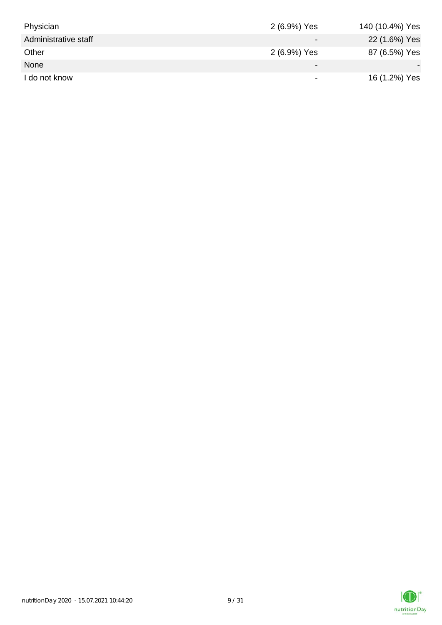| Physician            | 2 (6.9%) Yes             | 140 (10.4%) Yes |
|----------------------|--------------------------|-----------------|
| Administrative staff |                          | 22 (1.6%) Yes   |
| Other                | 2 (6.9%) Yes             | 87 (6.5%) Yes   |
| None                 | $\overline{\phantom{0}}$ |                 |
| I do not know        |                          | 16 (1.2%) Yes   |

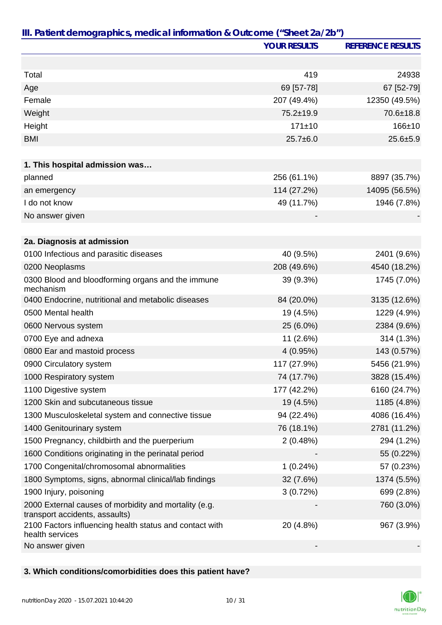|                                                                                         | <b>YOUR RESULTS</b> | <b>REFERENCE RESULTS</b> |
|-----------------------------------------------------------------------------------------|---------------------|--------------------------|
|                                                                                         |                     |                          |
| Total                                                                                   | 419                 | 24938                    |
| Age                                                                                     | 69 [57-78]          | 67 [52-79]               |
| Female                                                                                  | 207 (49.4%)         | 12350 (49.5%)            |
| Weight                                                                                  | 75.2±19.9           | 70.6±18.8                |
| Height                                                                                  | 171±10              | $166 + 10$               |
| <b>BMI</b>                                                                              | $25.7 \pm 6.0$      | $25.6 + 5.9$             |
|                                                                                         |                     |                          |
| 1. This hospital admission was                                                          |                     |                          |
| planned                                                                                 | 256 (61.1%)         | 8897 (35.7%)             |
| an emergency                                                                            | 114 (27.2%)         | 14095 (56.5%)            |
| I do not know                                                                           | 49 (11.7%)          | 1946 (7.8%)              |
| No answer given                                                                         |                     |                          |
|                                                                                         |                     |                          |
| 2a. Diagnosis at admission                                                              |                     |                          |
| 0100 Infectious and parasitic diseases                                                  | 40 (9.5%)           | 2401 (9.6%)              |
| 0200 Neoplasms                                                                          | 208 (49.6%)         | 4540 (18.2%)             |
| 0300 Blood and bloodforming organs and the immune<br>mechanism                          | 39 (9.3%)           | 1745 (7.0%)              |
| 0400 Endocrine, nutritional and metabolic diseases                                      | 84 (20.0%)          | 3135 (12.6%)             |
| 0500 Mental health                                                                      | 19 (4.5%)           | 1229 (4.9%)              |
| 0600 Nervous system                                                                     | 25 (6.0%)           | 2384 (9.6%)              |
| 0700 Eye and adnexa                                                                     | 11 (2.6%)           | 314 (1.3%)               |
| 0800 Ear and mastoid process                                                            | 4(0.95%)            | 143 (0.57%)              |
| 0900 Circulatory system                                                                 | 117 (27.9%)         | 5456 (21.9%)             |
| 1000 Respiratory system                                                                 | 74 (17.7%)          | 3828 (15.4%)             |
| 1100 Digestive system                                                                   | 177 (42.2%)         | 6160 (24.7%)             |
| 1200 Skin and subcutaneous tissue                                                       | 19 (4.5%)           | 1185 (4.8%)              |
| 1300 Musculoskeletal system and connective tissue                                       | 94 (22.4%)          | 4086 (16.4%)             |
| 1400 Genitourinary system                                                               | 76 (18.1%)          | 2781 (11.2%)             |
| 1500 Pregnancy, childbirth and the puerperium                                           | 2(0.48%)            | 294 (1.2%)               |
| 1600 Conditions originating in the perinatal period                                     |                     | 55 (0.22%)               |
| 1700 Congenital/chromosomal abnormalities                                               | 1(0.24%)            | 57 (0.23%)               |
| 1800 Symptoms, signs, abnormal clinical/lab findings                                    | 32 (7.6%)           | 1374 (5.5%)              |
| 1900 Injury, poisoning                                                                  | 3(0.72%)            | 699 (2.8%)               |
| 2000 External causes of morbidity and mortality (e.g.<br>transport accidents, assaults) |                     | 760 (3.0%)               |
| 2100 Factors influencing health status and contact with<br>health services              | 20 (4.8%)           | 967 (3.9%)               |
| No answer given                                                                         |                     |                          |

## **3. Which conditions/comorbidities does this patient have?**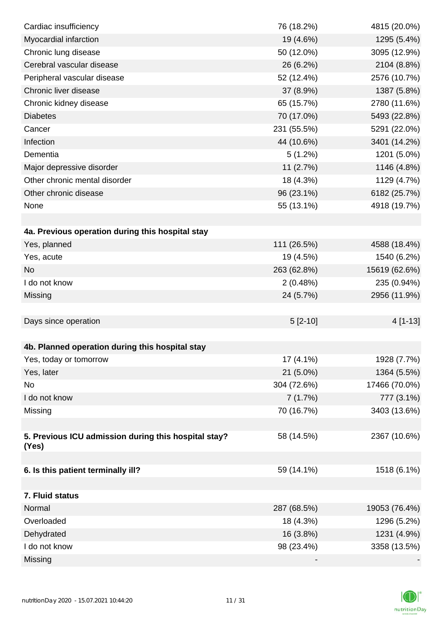| Cardiac insufficiency                                | 76 (18.2%)  | 4815 (20.0%)  |
|------------------------------------------------------|-------------|---------------|
| Myocardial infarction                                | 19 (4.6%)   | 1295 (5.4%)   |
| Chronic lung disease                                 | 50 (12.0%)  | 3095 (12.9%)  |
| Cerebral vascular disease                            | 26 (6.2%)   | 2104 (8.8%)   |
| Peripheral vascular disease                          | 52 (12.4%)  | 2576 (10.7%)  |
| Chronic liver disease                                | 37 (8.9%)   | 1387 (5.8%)   |
| Chronic kidney disease                               | 65 (15.7%)  | 2780 (11.6%)  |
| <b>Diabetes</b>                                      | 70 (17.0%)  | 5493 (22.8%)  |
| Cancer                                               | 231 (55.5%) | 5291 (22.0%)  |
| Infection                                            | 44 (10.6%)  | 3401 (14.2%)  |
| Dementia                                             | 5(1.2%)     | 1201 (5.0%)   |
| Major depressive disorder                            | 11(2.7%)    | 1146 (4.8%)   |
| Other chronic mental disorder                        | 18 (4.3%)   | 1129 (4.7%)   |
| Other chronic disease                                | 96 (23.1%)  | 6182 (25.7%)  |
| None                                                 | 55 (13.1%)  | 4918 (19.7%)  |
|                                                      |             |               |
| 4a. Previous operation during this hospital stay     |             |               |
| Yes, planned                                         | 111 (26.5%) | 4588 (18.4%)  |
| Yes, acute                                           | 19 (4.5%)   | 1540 (6.2%)   |
| <b>No</b>                                            | 263 (62.8%) | 15619 (62.6%) |
| I do not know                                        | 2(0.48%)    | 235 (0.94%)   |
| Missing                                              | 24 (5.7%)   | 2956 (11.9%)  |
|                                                      |             |               |
| Days since operation                                 | $5 [2-10]$  | $4[1-13]$     |
|                                                      |             |               |
| 4b. Planned operation during this hospital stay      |             |               |
| Yes, today or tomorrow                               | 17 (4.1%)   | 1928 (7.7%)   |
| Yes, later                                           | 21 (5.0%)   | 1364 (5.5%)   |
| No                                                   | 304 (72.6%) | 17466 (70.0%) |
| I do not know                                        | 7(1.7%)     | 777 (3.1%)    |
| Missing                                              | 70 (16.7%)  | 3403 (13.6%)  |
|                                                      |             |               |
| 5. Previous ICU admission during this hospital stay? | 58 (14.5%)  | 2367 (10.6%)  |
| (Yes)                                                |             |               |
| 6. Is this patient terminally ill?                   | 59 (14.1%)  | 1518 (6.1%)   |
|                                                      |             |               |
| 7. Fluid status                                      |             |               |
| Normal                                               | 287 (68.5%) | 19053 (76.4%) |
| Overloaded                                           | 18 (4.3%)   | 1296 (5.2%)   |
| Dehydrated                                           | 16 (3.8%)   | 1231 (4.9%)   |
| I do not know                                        | 98 (23.4%)  | 3358 (13.5%)  |
| Missing                                              |             |               |

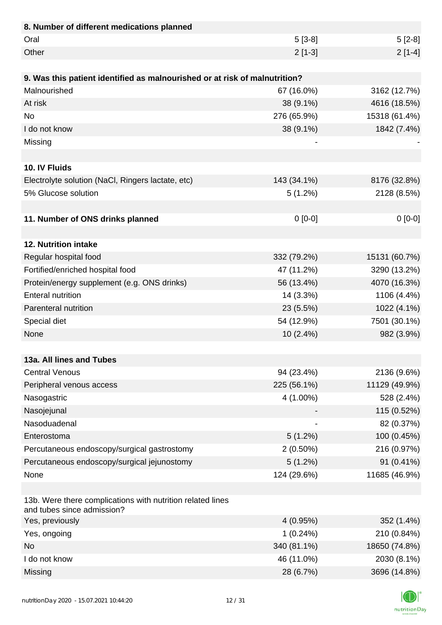| 8. Number of different medications planned                                               |             |               |
|------------------------------------------------------------------------------------------|-------------|---------------|
| Oral                                                                                     | $5[3-8]$    | $5[2-8]$      |
| Other                                                                                    | $2[1-3]$    | $2[1-4]$      |
|                                                                                          |             |               |
| 9. Was this patient identified as malnourished or at risk of malnutrition?               |             |               |
| Malnourished                                                                             | 67 (16.0%)  | 3162 (12.7%)  |
| At risk                                                                                  | 38 (9.1%)   | 4616 (18.5%)  |
| <b>No</b>                                                                                | 276 (65.9%) | 15318 (61.4%) |
| I do not know                                                                            | 38 (9.1%)   | 1842 (7.4%)   |
| Missing                                                                                  |             |               |
|                                                                                          |             |               |
| 10. IV Fluids                                                                            |             |               |
| Electrolyte solution (NaCl, Ringers lactate, etc)                                        | 143 (34.1%) | 8176 (32.8%)  |
| 5% Glucose solution                                                                      | 5(1.2%)     | 2128 (8.5%)   |
|                                                                                          |             |               |
| 11. Number of ONS drinks planned                                                         | $0 [0-0]$   | $0[0-0]$      |
|                                                                                          |             |               |
| 12. Nutrition intake                                                                     |             |               |
| Regular hospital food                                                                    | 332 (79.2%) | 15131 (60.7%) |
| Fortified/enriched hospital food                                                         | 47 (11.2%)  | 3290 (13.2%)  |
| Protein/energy supplement (e.g. ONS drinks)                                              | 56 (13.4%)  | 4070 (16.3%)  |
| <b>Enteral nutrition</b>                                                                 | 14 (3.3%)   | 1106 (4.4%)   |
| Parenteral nutrition                                                                     | 23 (5.5%)   | 1022 (4.1%)   |
| Special diet                                                                             | 54 (12.9%)  | 7501 (30.1%)  |
| None                                                                                     | 10 (2.4%)   | 982 (3.9%)    |
|                                                                                          |             |               |
| 13a. All lines and Tubes                                                                 |             |               |
| <b>Central Venous</b>                                                                    | 94 (23.4%)  | 2136 (9.6%)   |
| Peripheral venous access                                                                 | 225 (56.1%) | 11129 (49.9%) |
| Nasogastric                                                                              | 4 (1.00%)   | 528 (2.4%)    |
| Nasojejunal                                                                              |             | 115 (0.52%)   |
| Nasoduadenal                                                                             |             | 82 (0.37%)    |
| Enterostoma                                                                              | 5(1.2%)     | 100 (0.45%)   |
| Percutaneous endoscopy/surgical gastrostomy                                              | $2(0.50\%)$ | 216 (0.97%)   |
| Percutaneous endoscopy/surgical jejunostomy                                              | $5(1.2\%)$  | 91 (0.41%)    |
| None                                                                                     | 124 (29.6%) | 11685 (46.9%) |
|                                                                                          |             |               |
| 13b. Were there complications with nutrition related lines<br>and tubes since admission? |             |               |
| Yes, previously                                                                          | 4(0.95%)    | 352 (1.4%)    |
| Yes, ongoing                                                                             | 1(0.24%)    | 210 (0.84%)   |
| <b>No</b>                                                                                | 340 (81.1%) | 18650 (74.8%) |
| I do not know                                                                            | 46 (11.0%)  | 2030 (8.1%)   |
| Missing                                                                                  | 28 (6.7%)   | 3696 (14.8%)  |

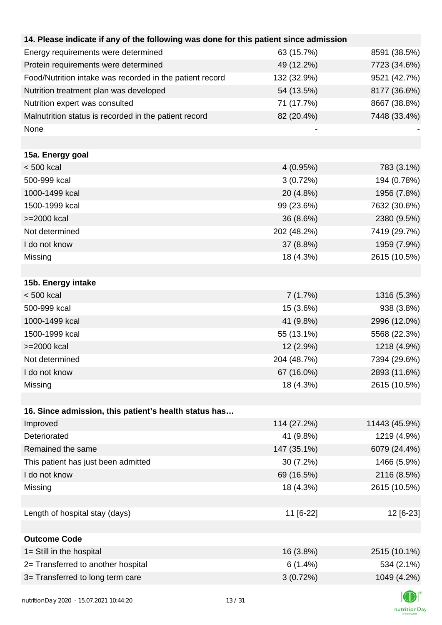| 14. Please indicate if any of the following was done for this patient since admission |             |               |
|---------------------------------------------------------------------------------------|-------------|---------------|
| Energy requirements were determined                                                   | 63 (15.7%)  | 8591 (38.5%)  |
| Protein requirements were determined                                                  | 49 (12.2%)  | 7723 (34.6%)  |
| Food/Nutrition intake was recorded in the patient record                              | 132 (32.9%) | 9521 (42.7%)  |
| Nutrition treatment plan was developed                                                | 54 (13.5%)  | 8177 (36.6%)  |
| Nutrition expert was consulted                                                        | 71 (17.7%)  | 8667 (38.8%)  |
| Malnutrition status is recorded in the patient record                                 | 82 (20.4%)  | 7448 (33.4%)  |
| None                                                                                  |             |               |
|                                                                                       |             |               |
| 15a. Energy goal                                                                      |             |               |
| $< 500$ kcal                                                                          | 4(0.95%)    | 783 (3.1%)    |
| 500-999 kcal                                                                          | 3(0.72%)    | 194 (0.78%)   |
| 1000-1499 kcal                                                                        | 20 (4.8%)   | 1956 (7.8%)   |
| 1500-1999 kcal                                                                        | 99 (23.6%)  | 7632 (30.6%)  |
| >=2000 kcal                                                                           | 36 (8.6%)   | 2380 (9.5%)   |
| Not determined                                                                        | 202 (48.2%) | 7419 (29.7%)  |
| I do not know                                                                         | 37 (8.8%)   | 1959 (7.9%)   |
| Missing                                                                               | 18 (4.3%)   | 2615 (10.5%)  |
|                                                                                       |             |               |
| 15b. Energy intake                                                                    |             |               |
| $< 500$ kcal                                                                          | 7(1.7%)     | 1316 (5.3%)   |
| 500-999 kcal                                                                          | 15 (3.6%)   | 938 (3.8%)    |
| 1000-1499 kcal                                                                        | 41 (9.8%)   | 2996 (12.0%)  |
| 1500-1999 kcal                                                                        | 55 (13.1%)  | 5568 (22.3%)  |
| >=2000 kcal                                                                           | 12 (2.9%)   | 1218 (4.9%)   |
| Not determined                                                                        | 204 (48.7%) | 7394 (29.6%)  |
| I do not know                                                                         | 67 (16.0%)  | 2893 (11.6%)  |
| Missing                                                                               | 18 (4.3%)   | 2615 (10.5%)  |
|                                                                                       |             |               |
| 16. Since admission, this patient's health status has                                 |             |               |
| Improved                                                                              | 114 (27.2%) | 11443 (45.9%) |
| Deteriorated                                                                          | 41 (9.8%)   | 1219 (4.9%)   |
| Remained the same                                                                     | 147 (35.1%) | 6079 (24.4%)  |
| This patient has just been admitted                                                   | $30(7.2\%)$ | 1466 (5.9%)   |
| I do not know                                                                         | 69 (16.5%)  | 2116 (8.5%)   |
| Missing                                                                               | 18 (4.3%)   | 2615 (10.5%)  |
|                                                                                       |             |               |
| Length of hospital stay (days)                                                        | 11 [6-22]   | 12 [6-23]     |
|                                                                                       |             |               |
| <b>Outcome Code</b>                                                                   |             |               |
| 1= Still in the hospital                                                              | 16 (3.8%)   | 2515 (10.1%)  |
| 2= Transferred to another hospital                                                    | 6(1.4%)     | 534 (2.1%)    |
| 3= Transferred to long term care                                                      | 3(0.72%)    | 1049 (4.2%)   |
|                                                                                       |             |               |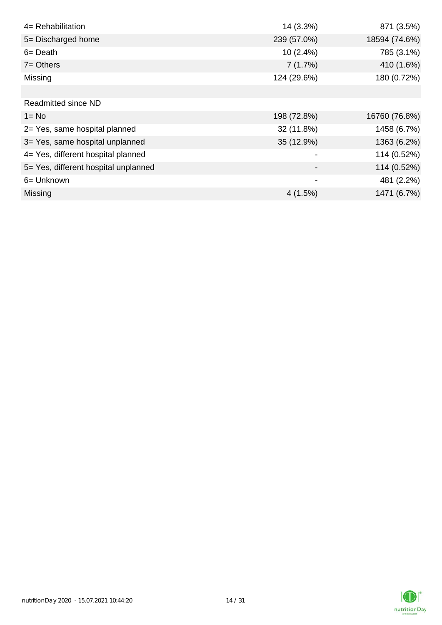| 4= Rehabilitation                    | 14 (3.3%)   | 871 (3.5%)    |
|--------------------------------------|-------------|---------------|
| 5= Discharged home                   | 239 (57.0%) | 18594 (74.6%) |
| $6 = Death$                          | 10 (2.4%)   | 785 (3.1%)    |
| $7 =$ Others                         | 7(1.7%)     | 410 (1.6%)    |
| Missing                              | 124 (29.6%) | 180 (0.72%)   |
|                                      |             |               |
| <b>Readmitted since ND</b>           |             |               |
| $1 = No$                             | 198 (72.8%) | 16760 (76.8%) |
| 2= Yes, same hospital planned        | 32 (11.8%)  | 1458 (6.7%)   |
| 3= Yes, same hospital unplanned      | 35 (12.9%)  | 1363 (6.2%)   |
| 4= Yes, different hospital planned   |             | 114 (0.52%)   |
| 5= Yes, different hospital unplanned |             | 114 (0.52%)   |
| 6= Unknown                           | -           | 481 (2.2%)    |
| <b>Missing</b>                       | 4(1.5%)     | 1471 (6.7%)   |

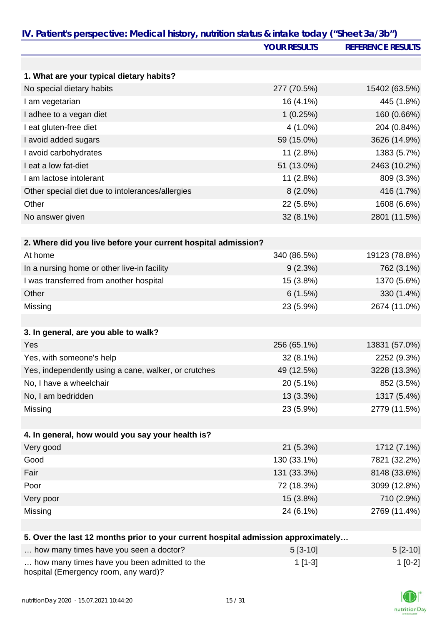| IV. Patient's perspective: Medical history, nutrition status & intake today ("Sheet 3a/3b") |                     |                          |
|---------------------------------------------------------------------------------------------|---------------------|--------------------------|
|                                                                                             | <b>YOUR RESULTS</b> | <b>REFERENCE RESULTS</b> |
|                                                                                             |                     |                          |
| 1. What are your typical dietary habits?                                                    |                     |                          |
| No special dietary habits                                                                   | 277 (70.5%)         | 15402 (63.5%)            |
| I am vegetarian                                                                             | 16 (4.1%)           | 445 (1.8%)               |
| I adhee to a vegan diet                                                                     | 1(0.25%)            | 160 (0.66%)              |
| I eat gluten-free diet                                                                      | $4(1.0\%)$          | 204 (0.84%)              |
| I avoid added sugars                                                                        | 59 (15.0%)          | 3626 (14.9%)             |
| I avoid carbohydrates                                                                       | 11 (2.8%)           | 1383 (5.7%)              |
| I eat a low fat-diet                                                                        | 51 (13.0%)          | 2463 (10.2%)             |
| I am lactose intolerant                                                                     | 11(2.8%)            | 809 (3.3%)               |
| Other special diet due to intolerances/allergies                                            | $8(2.0\%)$          | 416 (1.7%)               |
| Other                                                                                       | 22 (5.6%)           | 1608 (6.6%)              |
| No answer given                                                                             | 32 (8.1%)           | 2801 (11.5%)             |
|                                                                                             |                     |                          |
| 2. Where did you live before your current hospital admission?                               |                     |                          |
| At home                                                                                     | 340 (86.5%)         | 19123 (78.8%)            |
| In a nursing home or other live-in facility                                                 | 9(2.3%)             | 762 (3.1%)               |
| I was transferred from another hospital                                                     | 15 (3.8%)           | 1370 (5.6%)              |
| Other                                                                                       | 6(1.5%)             | 330 (1.4%)               |
| Missing                                                                                     | 23 (5.9%)           | 2674 (11.0%)             |
|                                                                                             |                     |                          |
| 3. In general, are you able to walk?                                                        |                     |                          |
| Yes                                                                                         | 256 (65.1%)         | 13831 (57.0%)            |
| Yes, with someone's help                                                                    | 32 (8.1%)           | 2252 (9.3%)              |
| Yes, independently using a cane, walker, or crutches                                        | 49 (12.5%)          | 3228 (13.3%)             |
| No, I have a wheelchair                                                                     | 20 (5.1%)           | 852 (3.5%)               |
| No, I am bedridden                                                                          | 13 (3.3%)           | 1317 (5.4%)              |
| Missing                                                                                     | 23 (5.9%)           | 2779 (11.5%)             |
| 4. In general, how would you say your health is?                                            |                     |                          |
| Very good                                                                                   | 21 (5.3%)           | 1712 (7.1%)              |
| Good                                                                                        | 130 (33.1%)         | 7821 (32.2%)             |
|                                                                                             |                     |                          |
| Fair                                                                                        | 131 (33.3%)         | 8148 (33.6%)             |
| Poor                                                                                        | 72 (18.3%)          | 3099 (12.8%)             |
| Very poor                                                                                   | 15 (3.8%)           | 710 (2.9%)               |
| Missing                                                                                     | 24 (6.1%)           | 2769 (11.4%)             |
| 5. Over the last 12 months prior to your current hospital admission approximately           |                     |                          |
| how many times have you seen a doctor?                                                      | F12.101             | F12.101                  |

| how many times have you seen a doctor?                                               | $5[3-10]$ | $5 [2-10]$ |
|--------------------------------------------------------------------------------------|-----------|------------|
| how many times have you been admitted to the<br>hospital (Emergency room, any ward)? | $1$ [1-3] | 1 [0-2]    |

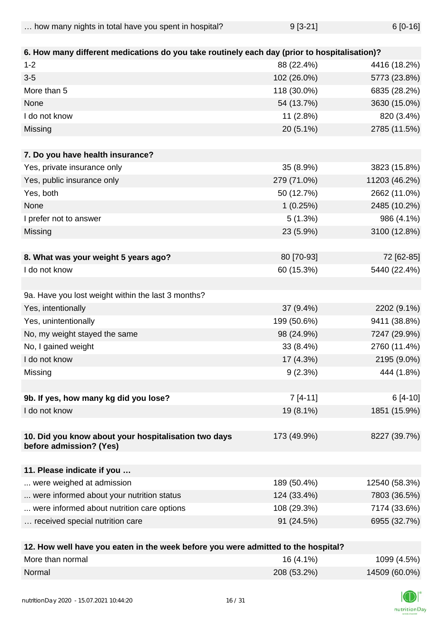| how many nights in total have you spent in hospital? | $9[3-21]$ | $6[0-16]$ |
|------------------------------------------------------|-----------|-----------|
|                                                      |           |           |

| 6. How many different medications do you take routinely each day (prior to hospitalisation)? |             |               |
|----------------------------------------------------------------------------------------------|-------------|---------------|
| $1 - 2$                                                                                      | 88 (22.4%)  | 4416 (18.2%)  |
| $3-5$                                                                                        | 102 (26.0%) | 5773 (23.8%)  |
| More than 5                                                                                  | 118 (30.0%) | 6835 (28.2%)  |
| None                                                                                         | 54 (13.7%)  | 3630 (15.0%)  |
| I do not know                                                                                | 11(2.8%)    | 820 (3.4%)    |
| Missing                                                                                      | 20 (5.1%)   | 2785 (11.5%)  |
| 7. Do you have health insurance?                                                             |             |               |
| Yes, private insurance only                                                                  | 35 (8.9%)   | 3823 (15.8%)  |
| Yes, public insurance only                                                                   | 279 (71.0%) | 11203 (46.2%) |
| Yes, both                                                                                    | 50 (12.7%)  | 2662 (11.0%)  |
| None                                                                                         | 1(0.25%)    | 2485 (10.2%)  |
| I prefer not to answer                                                                       | 5(1.3%)     | 986 (4.1%)    |
| Missing                                                                                      | 23 (5.9%)   | 3100 (12.8%)  |
|                                                                                              |             |               |
| 8. What was your weight 5 years ago?                                                         | 80 [70-93]  | 72 [62-85]    |
| I do not know                                                                                | 60 (15.3%)  | 5440 (22.4%)  |
|                                                                                              |             |               |
| 9a. Have you lost weight within the last 3 months?                                           |             |               |
| Yes, intentionally                                                                           | 37 (9.4%)   | 2202 (9.1%)   |
| Yes, unintentionally                                                                         | 199 (50.6%) | 9411 (38.8%)  |
| No, my weight stayed the same                                                                | 98 (24.9%)  | 7247 (29.9%)  |
| No, I gained weight                                                                          | 33 (8.4%)   | 2760 (11.4%)  |
| I do not know                                                                                | 17 (4.3%)   | 2195 (9.0%)   |
| Missing                                                                                      | 9(2.3%)     | 444 (1.8%)    |
|                                                                                              |             |               |
| 9b. If yes, how many kg did you lose?                                                        | $7[4-11]$   | $6[4-10]$     |
| I do not know                                                                                | 19 (8.1%)   | 1851 (15.9%)  |
|                                                                                              |             |               |
| 10. Did you know about your hospitalisation two days                                         | 173 (49.9%) | 8227 (39.7%)  |
| before admission? (Yes)                                                                      |             |               |
| 11. Please indicate if you                                                                   |             |               |
| were weighed at admission                                                                    | 189 (50.4%) | 12540 (58.3%) |
| were informed about your nutrition status                                                    | 124 (33.4%) | 7803 (36.5%)  |
| were informed about nutrition care options                                                   | 108 (29.3%) | 7174 (33.6%)  |
| received special nutrition care                                                              | 91 (24.5%)  | 6955 (32.7%)  |
|                                                                                              |             |               |
| 12. How well have you eaten in the week before you were admitted to the hospital?            |             |               |

| <b>IZ. HOW WEIL HAVE YOU CALCH III LITE WEEN DETOIC YOU WELF AUTHLIEU LO LITE HOSPILAL!</b> |             |               |
|---------------------------------------------------------------------------------------------|-------------|---------------|
| More than normal                                                                            | $16(4.1\%)$ | 1099 (4.5%)   |
| Normal                                                                                      | 208 (53.2%) | 14509 (60.0%) |

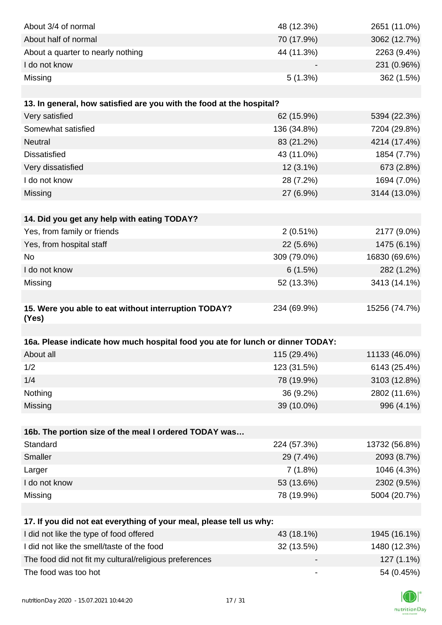| About 3/4 of normal                                                            | 48 (12.3%)               | 2651 (11.0%)  |
|--------------------------------------------------------------------------------|--------------------------|---------------|
| About half of normal                                                           | 70 (17.9%)               | 3062 (12.7%)  |
| About a quarter to nearly nothing                                              | 44 (11.3%)               | 2263 (9.4%)   |
| I do not know                                                                  |                          | 231 (0.96%)   |
| Missing                                                                        | 5(1.3%)                  | 362 (1.5%)    |
|                                                                                |                          |               |
| 13. In general, how satisfied are you with the food at the hospital?           |                          |               |
| Very satisfied                                                                 | 62 (15.9%)               | 5394 (22.3%)  |
| Somewhat satisfied                                                             | 136 (34.8%)              | 7204 (29.8%)  |
| <b>Neutral</b>                                                                 | 83 (21.2%)               | 4214 (17.4%)  |
| <b>Dissatisfied</b>                                                            | 43 (11.0%)               | 1854 (7.7%)   |
| Very dissatisfied                                                              | 12 (3.1%)                | 673 (2.8%)    |
| I do not know                                                                  | 28 (7.2%)                | 1694 (7.0%)   |
| Missing                                                                        | 27 (6.9%)                | 3144 (13.0%)  |
|                                                                                |                          |               |
| 14. Did you get any help with eating TODAY?                                    |                          |               |
| Yes, from family or friends                                                    | 2(0.51%)                 | 2177 (9.0%)   |
| Yes, from hospital staff                                                       | 22 (5.6%)                | 1475 (6.1%)   |
| No                                                                             | 309 (79.0%)              | 16830 (69.6%) |
| I do not know                                                                  | 6(1.5%)                  | 282 (1.2%)    |
| Missing                                                                        | 52 (13.3%)               | 3413 (14.1%)  |
|                                                                                |                          |               |
| 15. Were you able to eat without interruption TODAY?<br>(Yes)                  | 234 (69.9%)              | 15256 (74.7%) |
|                                                                                |                          |               |
| 16a. Please indicate how much hospital food you ate for lunch or dinner TODAY: |                          |               |
| About all                                                                      | 115 (29.4%)              | 11133 (46.0%) |
| 1/2                                                                            | 123 (31.5%)              | 6143 (25.4%)  |
| 1/4                                                                            | 78 (19.9%)               | 3103 (12.8%)  |
| Nothing                                                                        | 36 (9.2%)                | 2802 (11.6%)  |
| Missing                                                                        | 39 (10.0%)               | 996 (4.1%)    |
|                                                                                |                          |               |
| 16b. The portion size of the meal I ordered TODAY was                          |                          |               |
| Standard                                                                       | 224 (57.3%)              | 13732 (56.8%) |
| Smaller                                                                        | 29 (7.4%)                | 2093 (8.7%)   |
| Larger                                                                         | 7(1.8%)                  | 1046 (4.3%)   |
| I do not know                                                                  | 53 (13.6%)               | 2302 (9.5%)   |
| Missing                                                                        | 78 (19.9%)               | 5004 (20.7%)  |
|                                                                                |                          |               |
| 17. If you did not eat everything of your meal, please tell us why:            |                          |               |
| I did not like the type of food offered                                        | 43 (18.1%)               | 1945 (16.1%)  |
| I did not like the smell/taste of the food                                     | 32 (13.5%)               | 1480 (12.3%)  |
| The food did not fit my cultural/religious preferences                         |                          | 127 (1.1%)    |
| The food was too hot                                                           | $\overline{\phantom{a}}$ | 54 (0.45%)    |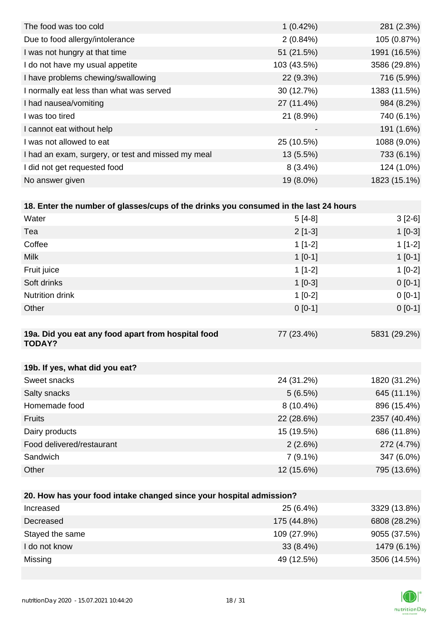| The food was too cold                              | 1(0.42%)                 | 281 (2.3%)   |
|----------------------------------------------------|--------------------------|--------------|
| Due to food allergy/intolerance                    | 2(0.84%)                 | 105 (0.87%)  |
| I was not hungry at that time                      | 51 (21.5%)               | 1991 (16.5%) |
| I do not have my usual appetite                    | 103 (43.5%)              | 3586 (29.8%) |
| I have problems chewing/swallowing                 | 22 (9.3%)                | 716 (5.9%)   |
| I normally eat less than what was served           | 30 (12.7%)               | 1383 (11.5%) |
| I had nausea/vomiting                              | 27 (11.4%)               | 984 (8.2%)   |
| I was too tired                                    | 21 (8.9%)                | 740 (6.1%)   |
| I cannot eat without help                          | $\overline{\phantom{a}}$ | 191 (1.6%)   |
| I was not allowed to eat                           | 25 (10.5%)               | 1088 (9.0%)  |
| I had an exam, surgery, or test and missed my meal | $13(5.5\%)$              | 733 (6.1%)   |
| I did not get requested food                       | $8(3.4\%)$               | 124 (1.0%)   |
| No answer given                                    | 19 (8.0%)                | 1823 (15.1%) |

| 18. Enter the number of glasses/cups of the drinks you consumed in the last 24 hours |             |              |  |
|--------------------------------------------------------------------------------------|-------------|--------------|--|
| Water                                                                                | $5[4-8]$    | $3[2-6]$     |  |
| Tea                                                                                  | $2[1-3]$    | $1[0-3]$     |  |
| Coffee                                                                               | $1[1-2]$    | $1[1-2]$     |  |
| <b>Milk</b>                                                                          | $1[0-1]$    | $1[0-1]$     |  |
| Fruit juice                                                                          | $1[1-2]$    | $1[0-2]$     |  |
| Soft drinks                                                                          | $1[0-3]$    | $0[0-1]$     |  |
| Nutrition drink                                                                      | $1[0-2]$    | $0[0-1]$     |  |
| Other                                                                                | $0[0-1]$    | $0[0-1]$     |  |
|                                                                                      |             |              |  |
| 19a. Did you eat any food apart from hospital food<br><b>TODAY?</b>                  | 77 (23.4%)  | 5831 (29.2%) |  |
|                                                                                      |             |              |  |
| 19b. If yes, what did you eat?                                                       |             |              |  |
| Sweet snacks                                                                         | 24 (31.2%)  | 1820 (31.2%) |  |
| Salty snacks                                                                         | 5(6.5%)     | 645 (11.1%)  |  |
| Homemade food                                                                        | $8(10.4\%)$ | 896 (15.4%)  |  |
| <b>Fruits</b>                                                                        | 22 (28.6%)  | 2357 (40.4%) |  |
| Dairy products                                                                       | 15 (19.5%)  | 686 (11.8%)  |  |
| Food delivered/restaurant                                                            | 2(2.6%)     | 272 (4.7%)   |  |

| 20. How has your food intake changed since your hospital admission? |             |              |  |
|---------------------------------------------------------------------|-------------|--------------|--|
| Increased                                                           | 25 (6.4%)   | 3329 (13.8%) |  |
| Decreased                                                           | 175 (44.8%) | 6808 (28.2%) |  |
| Stayed the same                                                     | 109 (27.9%) | 9055 (37.5%) |  |
| I do not know                                                       | $33(8.4\%)$ | 1479 (6.1%)  |  |
| Missing                                                             | 49 (12.5%)  | 3506 (14.5%) |  |

Sandwich 347 (6.0%) Other 12 (15.6%) 795 (13.6%)

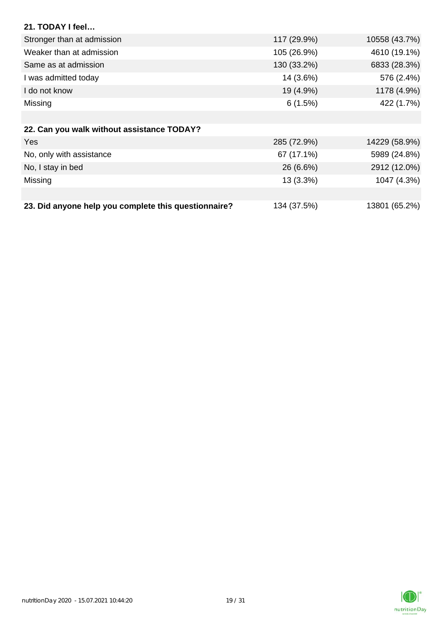| 21. TODAY I feel                                     |             |               |
|------------------------------------------------------|-------------|---------------|
| Stronger than at admission                           | 117 (29.9%) | 10558 (43.7%) |
| Weaker than at admission                             | 105 (26.9%) | 4610 (19.1%)  |
| Same as at admission                                 | 130 (33.2%) | 6833 (28.3%)  |
| I was admitted today                                 | 14 (3.6%)   | 576 (2.4%)    |
| I do not know                                        | 19 (4.9%)   | 1178 (4.9%)   |
| Missing                                              | 6(1.5%)     | 422 (1.7%)    |
|                                                      |             |               |
| 22. Can you walk without assistance TODAY?           |             |               |
| Yes                                                  | 285 (72.9%) | 14229 (58.9%) |
| No, only with assistance                             | 67 (17.1%)  | 5989 (24.8%)  |
| No, I stay in bed                                    | 26 (6.6%)   | 2912 (12.0%)  |
| Missing                                              | 13 (3.3%)   | 1047 (4.3%)   |
|                                                      |             |               |
| 23. Did anyone help you complete this questionnaire? | 134 (37.5%) | 13801 (65.2%) |

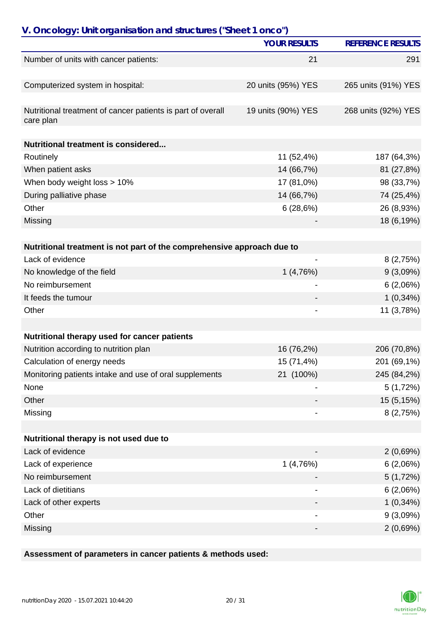|                                                                          | <b>YOUR RESULTS</b> | <b>REFERENCE RESULTS</b> |
|--------------------------------------------------------------------------|---------------------|--------------------------|
| Number of units with cancer patients:                                    | 21                  | 291                      |
|                                                                          |                     |                          |
| Computerized system in hospital:                                         | 20 units (95%) YES  | 265 units (91%) YES      |
|                                                                          |                     |                          |
| Nutritional treatment of cancer patients is part of overall<br>care plan | 19 units (90%) YES  | 268 units (92%) YES      |
| Nutritional treatment is considered                                      |                     |                          |
| Routinely                                                                | 11 (52,4%)          | 187 (64,3%)              |
| When patient asks                                                        | 14 (66,7%)          | 81 (27,8%)               |
| When body weight loss > 10%                                              | 17 (81,0%)          | 98 (33,7%)               |
| During palliative phase                                                  | 14 (66,7%)          | 74 (25,4%)               |
| Other                                                                    | 6(28,6%)            | 26 (8,93%)               |
| Missing                                                                  |                     | 18 (6,19%)               |
|                                                                          |                     |                          |
| Nutritional treatment is not part of the comprehensive approach due to   |                     |                          |
| Lack of evidence                                                         | -                   | 8(2,75%)                 |
| No knowledge of the field                                                | 1(4,76%)            | 9(3,09%)                 |
| No reimbursement                                                         |                     | 6(2,06%)                 |
| It feeds the tumour                                                      |                     | $1(0,34\%)$              |
| Other                                                                    |                     | 11 (3,78%)               |
|                                                                          |                     |                          |
| Nutritional therapy used for cancer patients                             |                     |                          |
| Nutrition according to nutrition plan                                    | 16 (76,2%)          | 206 (70,8%)              |
| Calculation of energy needs                                              | 15 (71,4%)          | 201 (69,1%)              |
| Monitoring patients intake and use of oral supplements                   | 21 (100%)           | 245 (84,2%)              |
| None                                                                     |                     | 5(1,72%)                 |
| Other                                                                    |                     | 15 (5,15%)               |
| Missing                                                                  |                     | 8(2,75%)                 |
| Nutritional therapy is not used due to                                   |                     |                          |
| Lack of evidence                                                         |                     | 2(0,69%)                 |
| Lack of experience                                                       | 1(4,76%)            | 6(2,06%)                 |
| No reimbursement                                                         |                     | 5(1,72%)                 |
|                                                                          |                     |                          |
| Lack of dietitians                                                       |                     | 6(2,06%)                 |
| Lack of other experts<br>Other                                           |                     | $1(0,34\%)$              |
|                                                                          |                     | 9(3,09%)                 |
| Missing                                                                  | -                   | 2(0,69%)                 |

**Assessment of parameters in cancer patients & methods used:**

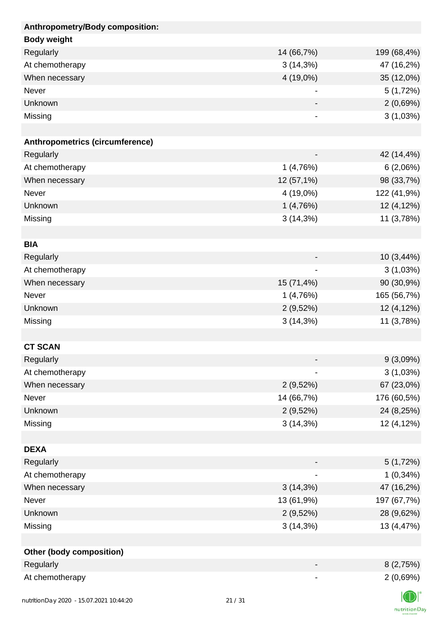| Anthropometry/Body composition: |             |                |
|---------------------------------|-------------|----------------|
| <b>Body weight</b>              |             |                |
| Regularly                       | 14 (66,7%)  | 199 (68,4%)    |
| At chemotherapy                 | 3(14,3%)    | 47 (16,2%)     |
| When necessary                  | 4 (19,0%)   | 35 (12,0%)     |
| Never                           |             | 5(1,72%)       |
| Unknown                         |             | 2(0,69%)       |
| Missing                         | -           | 3(1,03%)       |
|                                 |             |                |
| Anthropometrics (circumference) |             |                |
| Regularly                       |             | 42 (14,4%)     |
| At chemotherapy                 | 1(4,76%)    | 6(2,06%)       |
| When necessary                  | 12 (57,1%)  | 98 (33,7%)     |
| Never                           | 4 (19,0%)   | 122 (41,9%)    |
| Unknown                         | 1(4,76%)    | 12 (4,12%)     |
| Missing                         | 3(14,3%)    | 11 (3,78%)     |
|                                 |             |                |
| <b>BIA</b>                      |             |                |
| Regularly                       |             | 10 (3,44%)     |
| At chemotherapy                 |             | 3(1,03%)       |
| When necessary                  | 15 (71,4%)  | 90 (30,9%)     |
| Never                           | 1(4,76%)    | 165 (56,7%)    |
| Unknown                         | 2(9,52%)    | 12 (4,12%)     |
| Missing                         | 3(14,3%)    | 11 (3,78%)     |
|                                 |             |                |
| <b>CT SCAN</b>                  |             |                |
| Regularly                       |             | 9(3,09%)       |
| At chemotherapy                 |             | 3(1,03%)       |
| When necessary                  | 2(9,52%)    | 67 (23,0%)     |
| Never                           | 14 (66,7%)  | 176 (60,5%)    |
| Unknown                         | 2(9,52%)    | 24 (8,25%)     |
| Missing                         | 3(14,3%)    | 12 (4,12%)     |
|                                 |             |                |
| <b>DEXA</b>                     |             |                |
| Regularly                       |             | 5(1,72%)       |
| At chemotherapy                 |             | $1(0,34\%)$    |
| When necessary                  | $3(14,3\%)$ | 47 (16,2%)     |
| Never                           | 13 (61,9%)  | 197 (67,7%)    |
| Unknown                         | 2(9,52%)    | 28 (9,62%)     |
| Missing                         | 3(14,3%)    | 13 (4,47%)     |
|                                 |             |                |
| <b>Other (body composition)</b> |             |                |
| Regularly                       |             | 8(2,75%)       |
| At chemotherapy                 |             | 2(0,69%)       |
|                                 |             | $\blacksquare$ |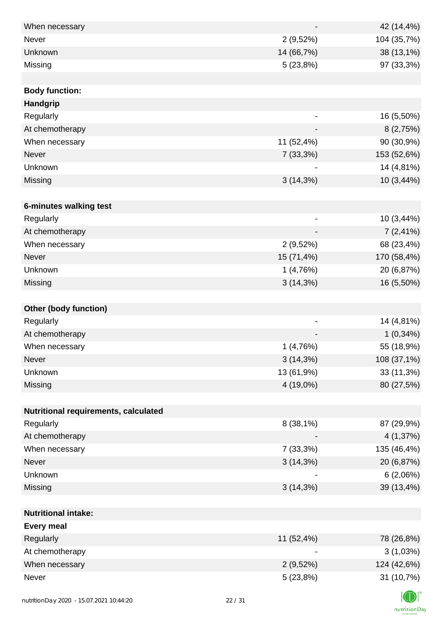| When necessary                       |                              | 42 (14,4%)  |
|--------------------------------------|------------------------------|-------------|
| <b>Never</b>                         | 2(9,52%)                     | 104 (35,7%) |
| Unknown                              | 14 (66,7%)                   | 38 (13,1%)  |
| Missing                              | 5(23,8%)                     | 97 (33,3%)  |
|                                      |                              |             |
| <b>Body function:</b>                |                              |             |
| Handgrip                             |                              |             |
| Regularly                            |                              | 16 (5,50%)  |
| At chemotherapy                      |                              | 8(2,75%)    |
| When necessary                       | 11 (52,4%)                   | 90 (30,9%)  |
| Never                                | 7(33,3%)                     | 153 (52,6%) |
| Unknown                              |                              | 14 (4,81%)  |
| Missing                              | $3(14,3\%)$                  | 10 (3,44%)  |
|                                      |                              |             |
| 6-minutes walking test               |                              |             |
| Regularly                            |                              | 10 (3,44%)  |
| At chemotherapy                      |                              | $7(2,41\%)$ |
| When necessary                       | 2(9,52%)                     | 68 (23,4%)  |
| Never                                | 15 (71,4%)                   | 170 (58,4%) |
| Unknown                              | 1(4,76%)                     | 20 (6,87%)  |
| Missing                              | $3(14,3\%)$                  | 16 (5,50%)  |
|                                      |                              |             |
| <b>Other (body function)</b>         |                              |             |
| Regularly                            | $\qquad \qquad \blacksquare$ | 14 (4,81%)  |
| At chemotherapy                      |                              | $1(0,34\%)$ |
| When necessary                       | 1(4,76%)                     | 55 (18,9%)  |
| Never                                | $3(14,3\%)$                  | 108 (37,1%) |
| Unknown                              | 13 (61,9%)                   | 33 (11,3%)  |
| Missing                              | 4 (19,0%)                    | 80 (27,5%)  |
|                                      |                              |             |
| Nutritional requirements, calculated |                              |             |
| Regularly                            | 8 (38,1%)                    | 87 (29,9%)  |
| At chemotherapy                      |                              | 4(1,37%)    |
| When necessary                       | 7(33,3%)                     | 135 (46,4%) |
| Never                                | 3(14,3%)                     | 20 (6,87%)  |
| Unknown                              |                              | 6(2,06%)    |
| Missing                              | 3(14,3%)                     | 39 (13,4%)  |
|                                      |                              |             |
| <b>Nutritional intake:</b>           |                              |             |
| <b>Every meal</b>                    |                              |             |
| Regularly                            | 11 (52,4%)                   | 78 (26,8%)  |
| At chemotherapy                      |                              | 3(1,03%)    |
| When necessary                       | 2(9,52%)                     | 124 (42,6%) |
| Never                                | 5(23,8%)                     | 31 (10,7%)  |
|                                      |                              |             |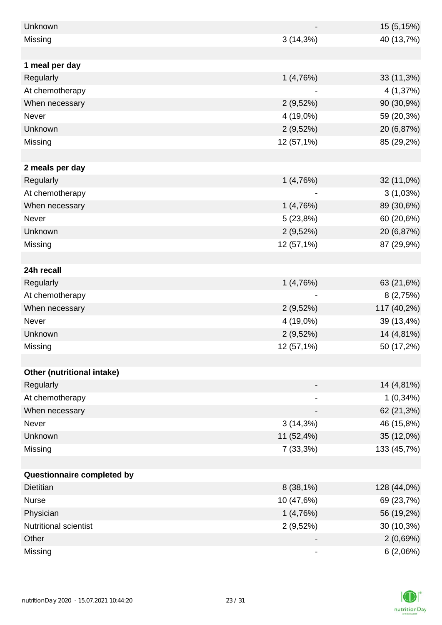| Unknown                      |             | 15 (5,15%)  |
|------------------------------|-------------|-------------|
| Missing                      | $3(14,3\%)$ | 40 (13,7%)  |
|                              |             |             |
| 1 meal per day               |             |             |
| Regularly                    | 1(4,76%)    | 33 (11,3%)  |
| At chemotherapy              |             | 4 (1,37%)   |
| When necessary               | 2(9,52%)    | 90 (30,9%)  |
| Never                        | 4 (19,0%)   | 59 (20,3%)  |
| Unknown                      | 2(9,52%)    | 20 (6,87%)  |
| Missing                      | 12 (57,1%)  | 85 (29,2%)  |
|                              |             |             |
| 2 meals per day              |             |             |
| Regularly                    | 1(4,76%)    | 32 (11,0%)  |
| At chemotherapy              |             | 3(1,03%)    |
| When necessary               | 1(4,76%)    | 89 (30,6%)  |
| Never                        | 5(23,8%)    | 60 (20,6%)  |
| Unknown                      | 2(9,52%)    | 20 (6,87%)  |
| Missing                      | 12 (57,1%)  | 87 (29,9%)  |
|                              |             |             |
| 24h recall                   |             |             |
| Regularly                    | 1(4,76%)    | 63 (21,6%)  |
| At chemotherapy              |             | 8(2,75%)    |
| When necessary               | 2(9,52%)    | 117 (40,2%) |
| Never                        | 4 (19,0%)   | 39 (13,4%)  |
| Unknown                      | 2(9,52%)    | 14 (4,81%)  |
| Missing                      | 12 (57,1%)  | 50 (17,2%)  |
|                              |             |             |
| Other (nutritional intake)   |             |             |
| Regularly                    |             | 14 (4,81%)  |
| At chemotherapy              |             | $1(0,34\%)$ |
| When necessary               |             | 62 (21,3%)  |
| Never                        | $3(14,3\%)$ | 46 (15,8%)  |
| Unknown                      | 11 (52,4%)  | 35 (12,0%)  |
| Missing                      | 7 (33,3%)   | 133 (45,7%) |
|                              |             |             |
| Questionnaire completed by   |             |             |
| <b>Dietitian</b>             | $8(38,1\%)$ | 128 (44,0%) |
| <b>Nurse</b>                 | 10 (47,6%)  | 69 (23,7%)  |
| Physician                    | 1(4,76%)    | 56 (19,2%)  |
| <b>Nutritional scientist</b> | 2(9,52%)    | 30 (10,3%)  |
| Other                        |             | 2(0,69%)    |
| Missing                      |             | 6(2,06%)    |

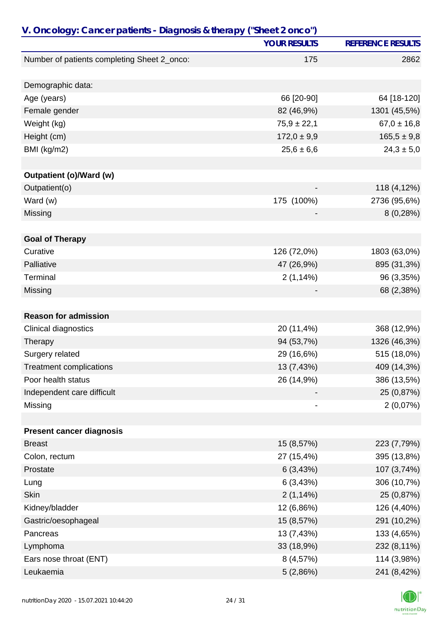| V. Oncology: Cancer patients - Diagnosis & therapy ("Sheet 2 onco") |                          |                          |
|---------------------------------------------------------------------|--------------------------|--------------------------|
|                                                                     | <b>YOUR RESULTS</b>      | <b>REFERENCE RESULTS</b> |
| Number of patients completing Sheet 2_onco:                         | 175                      | 2862                     |
|                                                                     |                          |                          |
| Demographic data:                                                   |                          |                          |
| Age (years)                                                         | 66 [20-90]               | 64 [18-120]              |
| Female gender                                                       | 82 (46,9%)               | 1301 (45,5%)             |
| Weight (kg)                                                         | $75,9 \pm 22,1$          | $67,0 \pm 16,8$          |
| Height (cm)                                                         | $172,0 \pm 9,9$          | $165,5 \pm 9,8$          |
| BMI (kg/m2)                                                         | $25,6 \pm 6,6$           | $24,3 \pm 5,0$           |
|                                                                     |                          |                          |
| <b>Outpatient (o)/Ward (w)</b>                                      |                          |                          |
| Outpatient(o)                                                       | $\overline{\phantom{a}}$ | 118 (4,12%)              |
| Ward (w)                                                            | 175 (100%)               | 2736 (95,6%)             |
| Missing                                                             |                          | 8(0,28%)                 |
|                                                                     |                          |                          |
| <b>Goal of Therapy</b>                                              |                          |                          |
| Curative                                                            | 126 (72,0%)              | 1803 (63,0%)             |
| Palliative                                                          | 47 (26,9%)               | 895 (31,3%)              |
| Terminal                                                            | 2(1,14%)                 | 96 (3,35%)               |
| Missing                                                             |                          | 68 (2,38%)               |
|                                                                     |                          |                          |
| <b>Reason for admission</b>                                         |                          |                          |
| <b>Clinical diagnostics</b>                                         | 20 (11,4%)               | 368 (12,9%)              |
| Therapy                                                             | 94 (53,7%)               | 1326 (46,3%)             |
| Surgery related                                                     | 29 (16,6%)               | 515 (18,0%)              |
| <b>Treatment complications</b>                                      | 13 (7,43%)               | 409 (14,3%)              |
| Poor health status                                                  | 26 (14,9%)               | 386 (13,5%)              |
| Independent care difficult                                          |                          | 25 (0,87%)               |
| Missing                                                             |                          | 2(0,07%)                 |
|                                                                     |                          |                          |
| <b>Present cancer diagnosis</b>                                     |                          |                          |
| <b>Breast</b>                                                       | 15 (8,57%)               | 223 (7,79%)              |
| Colon, rectum                                                       | 27 (15,4%)               | 395 (13,8%)              |
| Prostate                                                            | 6(3,43%)                 | 107 (3,74%)              |
| Lung                                                                | 6(3,43%)                 | 306 (10,7%)              |
| <b>Skin</b>                                                         | 2(1,14%)                 | 25 (0,87%)               |
| Kidney/bladder                                                      | 12 (6,86%)               | 126 (4,40%)              |
| Gastric/oesophageal                                                 | 15 (8,57%)               | 291 (10,2%)              |
| Pancreas                                                            | 13 (7,43%)               | 133 (4,65%)              |
| Lymphoma                                                            | 33 (18,9%)               | 232 (8,11%)              |
| Ears nose throat (ENT)                                              | 8 (4,57%)                | 114 (3,98%)              |
| Leukaemia                                                           | 5(2,86%)                 | 241 (8,42%)              |

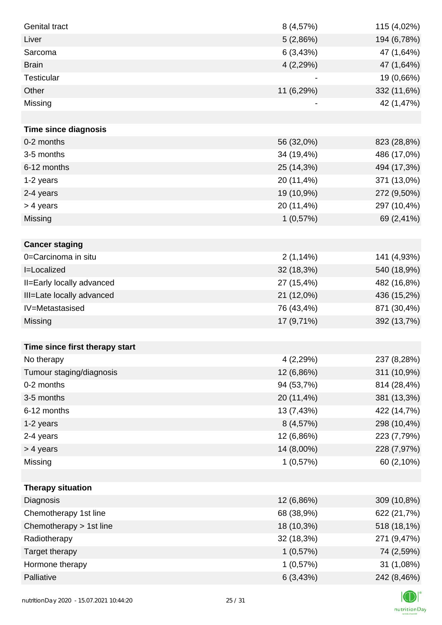| <b>Genital tract</b>           | 8(4,57%)   | 115 (4,02%) |
|--------------------------------|------------|-------------|
| Liver                          | 5(2,86%)   | 194 (6,78%) |
| Sarcoma                        | 6(3,43%)   | 47 (1,64%)  |
| <b>Brain</b>                   | 4(2,29%)   | 47 (1,64%)  |
| <b>Testicular</b>              |            | 19 (0,66%)  |
| Other                          | 11 (6,29%) | 332 (11,6%) |
| Missing                        |            | 42 (1,47%)  |
|                                |            |             |
| <b>Time since diagnosis</b>    |            |             |
| 0-2 months                     | 56 (32,0%) | 823 (28,8%) |
| 3-5 months                     | 34 (19,4%) | 486 (17,0%) |
| 6-12 months                    | 25 (14,3%) | 494 (17,3%) |
| 1-2 years                      | 20 (11,4%) | 371 (13,0%) |
| 2-4 years                      | 19 (10,9%) | 272 (9,50%) |
| > 4 years                      | 20 (11,4%) | 297 (10,4%) |
| Missing                        | 1(0,57%)   | 69 (2,41%)  |
|                                |            |             |
| <b>Cancer staging</b>          |            |             |
| 0=Carcinoma in situ            | 2(1,14%)   | 141 (4,93%) |
| I=Localized                    | 32 (18,3%) | 540 (18,9%) |
| II=Early locally advanced      | 27 (15,4%) | 482 (16,8%) |
| III=Late locally advanced      | 21 (12,0%) | 436 (15,2%) |
| IV=Metastasised                | 76 (43,4%) | 871 (30,4%) |
| Missing                        | 17 (9,71%) | 392 (13,7%) |
|                                |            |             |
| Time since first therapy start |            |             |
| No therapy                     | 4(2,29%)   | 237 (8,28%) |
| Tumour staging/diagnosis       | 12 (6,86%) | 311 (10,9%) |
| 0-2 months                     | 94 (53,7%) | 814 (28,4%) |
| 3-5 months                     | 20 (11,4%) | 381 (13,3%) |
| 6-12 months                    | 13 (7,43%) | 422 (14,7%) |
| 1-2 years                      | 8 (4,57%)  | 298 (10,4%) |
| 2-4 years                      | 12 (6,86%) | 223 (7,79%) |
| > 4 years                      | 14 (8,00%) | 228 (7,97%) |
| Missing                        | 1(0,57%)   | 60 (2,10%)  |
|                                |            |             |
| <b>Therapy situation</b>       |            |             |
| Diagnosis                      | 12 (6,86%) | 309 (10,8%) |
| Chemotherapy 1st line          | 68 (38,9%) | 622 (21,7%) |
| Chemotherapy > 1st line        | 18 (10,3%) | 518 (18,1%) |
| Radiotherapy                   | 32 (18,3%) | 271 (9,47%) |
| Target therapy                 | 1(0,57%)   | 74 (2,59%)  |
| Hormone therapy                | 1(0,57%)   | 31 (1,08%)  |
| Palliative                     | 6(3,43%)   | 242 (8,46%) |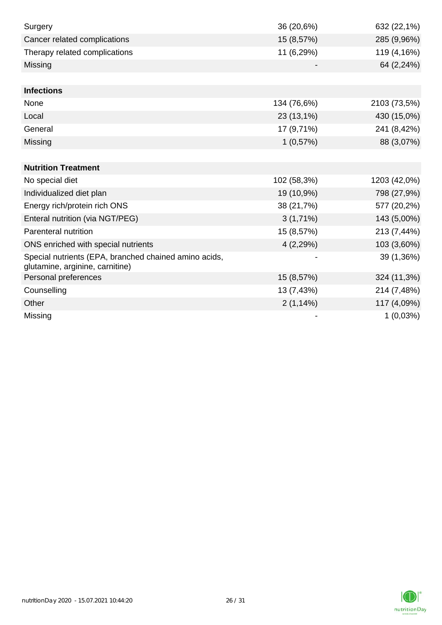| Surgery                                                                                  | 36 (20,6%)  | 632 (22,1%)  |
|------------------------------------------------------------------------------------------|-------------|--------------|
| Cancer related complications                                                             | 15 (8,57%)  | 285 (9,96%)  |
| Therapy related complications                                                            | 11 (6,29%)  | 119 (4,16%)  |
| Missing                                                                                  |             | 64 (2,24%)   |
|                                                                                          |             |              |
| <b>Infections</b>                                                                        |             |              |
| None                                                                                     | 134 (76,6%) | 2103 (73,5%) |
| Local                                                                                    | 23 (13,1%)  | 430 (15,0%)  |
| General                                                                                  | 17 (9,71%)  | 241 (8,42%)  |
| Missing                                                                                  | 1(0,57%)    | 88 (3,07%)   |
|                                                                                          |             |              |
| <b>Nutrition Treatment</b>                                                               |             |              |
| No special diet                                                                          | 102 (58,3%) | 1203 (42,0%) |
| Individualized diet plan                                                                 | 19 (10,9%)  | 798 (27,9%)  |
| Energy rich/protein rich ONS                                                             | 38 (21,7%)  | 577 (20,2%)  |
| Enteral nutrition (via NGT/PEG)                                                          | $3(1,71\%)$ | 143 (5,00%)  |
| Parenteral nutrition                                                                     | 15 (8,57%)  | 213 (7,44%)  |
| ONS enriched with special nutrients                                                      | 4(2,29%)    | 103 (3,60%)  |
| Special nutrients (EPA, branched chained amino acids,<br>glutamine, arginine, carnitine) |             | 39 (1,36%)   |
| Personal preferences                                                                     | 15 (8,57%)  | 324 (11,3%)  |
| Counselling                                                                              | 13 (7,43%)  | 214 (7,48%)  |
| Other                                                                                    | 2(1,14%)    | 117 (4,09%)  |
| Missing                                                                                  |             | 1(0,03%)     |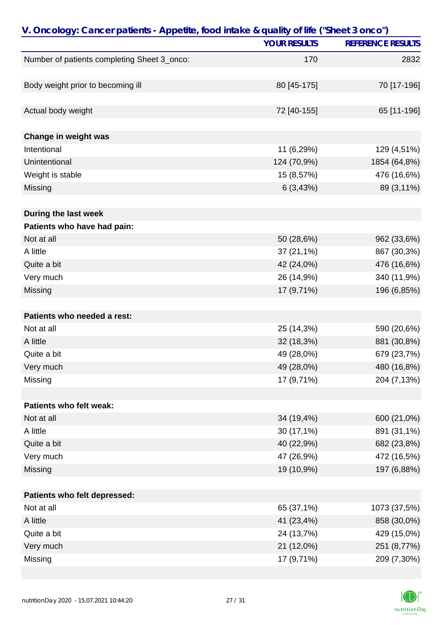| V. Oncology: Cancer patients - Appetite, food intake & quality of life ("Sheet 3 onco") |                     |                          |
|-----------------------------------------------------------------------------------------|---------------------|--------------------------|
|                                                                                         | <b>YOUR RESULTS</b> | <b>REFERENCE RESULTS</b> |
| Number of patients completing Sheet 3_onco:                                             | 170                 | 2832                     |
|                                                                                         |                     |                          |
| Body weight prior to becoming ill                                                       | 80 [45-175]         | 70 [17-196]              |
|                                                                                         |                     |                          |
| Actual body weight                                                                      | 72 [40-155]         | 65 [11-196]              |
|                                                                                         |                     |                          |
| Change in weight was                                                                    |                     |                          |
| Intentional                                                                             | 11 (6,29%)          | 129 (4,51%)              |
| Unintentional                                                                           | 124 (70,9%)         | 1854 (64,8%)             |
| Weight is stable                                                                        | 15 (8,57%)          | 476 (16,6%)              |
| Missing                                                                                 | 6(3,43%)            | 89 (3,11%)               |
|                                                                                         |                     |                          |
| During the last week                                                                    |                     |                          |
| Patients who have had pain:                                                             |                     |                          |
| Not at all                                                                              | 50 (28,6%)          | 962 (33,6%)              |
| A little                                                                                | 37 (21,1%)          | 867 (30,3%)              |
| Quite a bit                                                                             | 42 (24,0%)          | 476 (16,6%)              |
| Very much                                                                               | 26 (14,9%)          | 340 (11,9%)              |
| Missing                                                                                 | 17 (9,71%)          | 196 (6,85%)              |
|                                                                                         |                     |                          |
| Patients who needed a rest:                                                             |                     |                          |
| Not at all                                                                              | 25 (14,3%)          | 590 (20,6%)              |
| A little                                                                                | 32 (18,3%)          | 881 (30,8%)              |
| Quite a bit                                                                             | 49 (28,0%)          | 679 (23,7%)              |
| Very much                                                                               | 49 (28,0%)          | 480 (16,8%)              |
| Missing                                                                                 | 17 (9,71%)          | 204 (7,13%)              |
|                                                                                         |                     |                          |
| Patients who felt weak:                                                                 |                     |                          |
| Not at all                                                                              | 34 (19,4%)          | 600 (21,0%)              |
| A little                                                                                | 30 (17,1%)          | 891 (31,1%)              |
| Quite a bit                                                                             | 40 (22,9%)          | 682 (23,8%)              |
| Very much                                                                               | 47 (26,9%)          | 472 (16,5%)              |
| Missing                                                                                 | 19 (10,9%)          | 197 (6,88%)              |
|                                                                                         |                     |                          |
| Patients who felt depressed:                                                            |                     |                          |
| Not at all                                                                              | 65 (37,1%)          | 1073 (37,5%)             |
| A little                                                                                | 41 (23,4%)          | 858 (30,0%)              |
| Quite a bit                                                                             | 24 (13,7%)          | 429 (15,0%)              |
| Very much                                                                               | 21 (12,0%)          | 251 (8,77%)              |
| Missing                                                                                 | 17 (9,71%)          | 209 (7,30%)              |

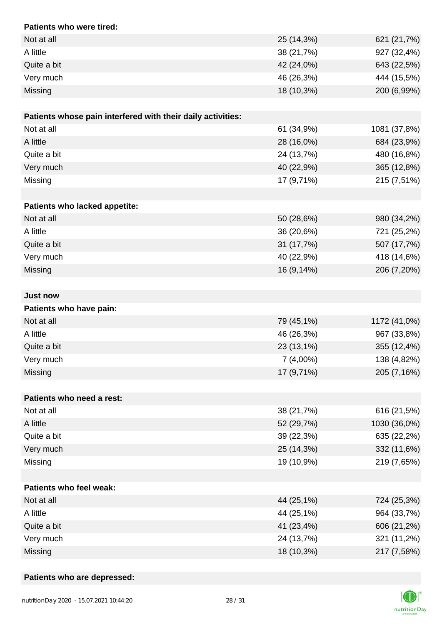| Patients who were tired:                                    |             |              |
|-------------------------------------------------------------|-------------|--------------|
| Not at all                                                  | 25 (14,3%)  | 621 (21,7%)  |
| A little                                                    | 38 (21,7%)  | 927 (32,4%)  |
| Quite a bit                                                 | 42 (24,0%)  | 643 (22,5%)  |
| Very much                                                   | 46 (26,3%)  | 444 (15,5%)  |
| Missing                                                     | 18 (10,3%)  | 200 (6,99%)  |
|                                                             |             |              |
| Patients whose pain interfered with their daily activities: |             |              |
| Not at all                                                  | 61 (34,9%)  | 1081 (37,8%) |
| A little                                                    | 28 (16,0%)  | 684 (23,9%)  |
| Quite a bit                                                 | 24 (13,7%)  | 480 (16,8%)  |
| Very much                                                   | 40 (22,9%)  | 365 (12,8%)  |
| Missing                                                     | 17 (9,71%)  | 215 (7,51%)  |
|                                                             |             |              |
| Patients who lacked appetite:                               |             |              |
| Not at all                                                  | 50 (28,6%)  | 980 (34,2%)  |
| A little                                                    | 36 (20,6%)  | 721 (25,2%)  |
| Quite a bit                                                 | 31 (17,7%)  | 507 (17,7%)  |
| Very much                                                   | 40 (22,9%)  | 418 (14,6%)  |
| Missing                                                     | 16 (9,14%)  | 206 (7,20%)  |
|                                                             |             |              |
| <b>Just now</b>                                             |             |              |
| Patients who have pain:                                     |             |              |
| Not at all                                                  | 79 (45,1%)  | 1172 (41,0%) |
| A little                                                    | 46 (26,3%)  | 967 (33,8%)  |
| Quite a bit                                                 | 23 (13,1%)  | 355 (12,4%)  |
| Very much                                                   | $7(4,00\%)$ | 138 (4,82%)  |
| Missing                                                     | 17 (9,71%)  | 205 (7,16%)  |
|                                                             |             |              |
| Patients who need a rest:                                   |             |              |
| Not at all                                                  | 38 (21,7%)  | 616 (21,5%)  |
| A little                                                    | 52 (29,7%)  | 1030 (36,0%) |
| Quite a bit                                                 | 39 (22,3%)  | 635 (22,2%)  |
| Very much                                                   | 25 (14,3%)  | 332 (11,6%)  |
| Missing                                                     | 19 (10,9%)  | 219 (7,65%)  |
|                                                             |             |              |
| <b>Patients who feel weak:</b>                              |             |              |
| Not at all                                                  | 44 (25,1%)  | 724 (25,3%)  |
| A little                                                    | 44 (25,1%)  | 964 (33,7%)  |
| Quite a bit                                                 | 41 (23,4%)  | 606 (21,2%)  |
| Very much                                                   | 24 (13,7%)  | 321 (11,2%)  |
| Missing                                                     | 18 (10,3%)  | 217 (7,58%)  |

## **Patients who are depressed:**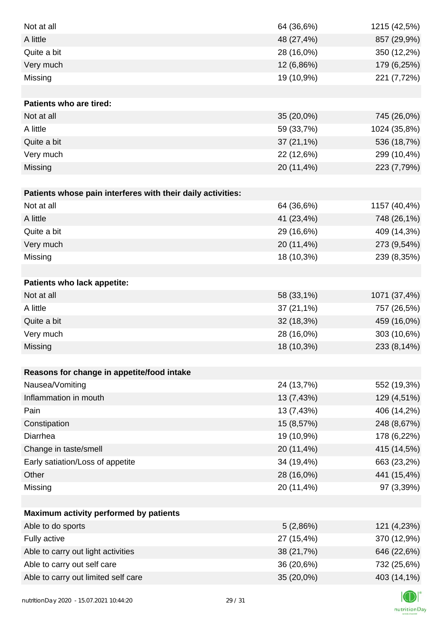| Not at all                                                  | 64 (36,6%)   | 1215 (42,5%) |
|-------------------------------------------------------------|--------------|--------------|
| A little                                                    | 48 (27,4%)   | 857 (29,9%)  |
| Quite a bit                                                 | 28 (16,0%)   | 350 (12,2%)  |
| Very much                                                   | 12 (6,86%)   | 179 (6,25%)  |
| Missing                                                     | 19 (10,9%)   | 221 (7,72%)  |
|                                                             |              |              |
| <b>Patients who are tired:</b>                              |              |              |
| Not at all                                                  | 35 (20,0%)   | 745 (26,0%)  |
| A little                                                    | 59 (33,7%)   | 1024 (35,8%) |
| Quite a bit                                                 | $37(21,1\%)$ | 536 (18,7%)  |
| Very much                                                   | 22 (12,6%)   | 299 (10,4%)  |
| Missing                                                     | 20 (11,4%)   | 223 (7,79%)  |
|                                                             |              |              |
| Patients whose pain interferes with their daily activities: |              |              |
| Not at all                                                  | 64 (36,6%)   | 1157 (40,4%) |
| A little                                                    | 41 (23,4%)   | 748 (26,1%)  |
| Quite a bit                                                 | 29 (16,6%)   | 409 (14,3%)  |
| Very much                                                   | 20 (11,4%)   | 273 (9,54%)  |
| Missing                                                     | 18 (10,3%)   | 239 (8,35%)  |
|                                                             |              |              |
| Patients who lack appetite:                                 |              |              |
| Not at all                                                  | 58 (33,1%)   | 1071 (37,4%) |
| A little                                                    | 37 (21,1%)   | 757 (26,5%)  |
| Quite a bit                                                 | 32 (18,3%)   | 459 (16,0%)  |
| Very much                                                   | 28 (16,0%)   | 303 (10,6%)  |
| Missing                                                     | 18 (10,3%)   | 233 (8,14%)  |
|                                                             |              |              |
| Reasons for change in appetite/food intake                  |              |              |
| Nausea/Vomiting                                             | 24 (13,7%)   | 552 (19,3%)  |
| Inflammation in mouth                                       | 13 (7,43%)   | 129 (4,51%)  |
| Pain                                                        | 13 (7,43%)   | 406 (14,2%)  |
| Constipation                                                | 15 (8,57%)   | 248 (8,67%)  |
| Diarrhea                                                    | 19 (10,9%)   | 178 (6,22%)  |
| Change in taste/smell                                       | 20 (11,4%)   | 415 (14,5%)  |
| Early satiation/Loss of appetite                            | 34 (19,4%)   | 663 (23,2%)  |
| Other                                                       | 28 (16,0%)   | 441 (15,4%)  |
| Missing                                                     | 20 (11,4%)   | 97 (3,39%)   |
|                                                             |              |              |
| Maximum activity performed by patients                      |              |              |
| Able to do sports                                           | 5(2,86%)     | 121 (4,23%)  |
| Fully active                                                | 27 (15,4%)   | 370 (12,9%)  |
| Able to carry out light activities                          | 38 (21,7%)   | 646 (22,6%)  |
| Able to carry out self care                                 | 36 (20,6%)   | 732 (25,6%)  |
| Able to carry out limited self care                         | 35 (20,0%)   | 403 (14,1%)  |
|                                                             |              |              |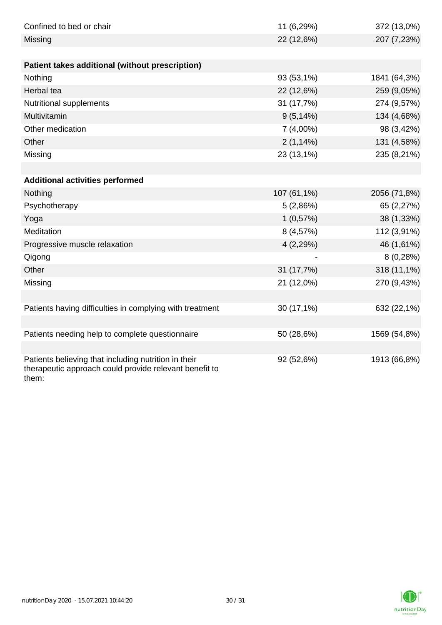| Confined to bed or chair                                                                                                | 11 (6,29%)   | 372 (13,0%)  |
|-------------------------------------------------------------------------------------------------------------------------|--------------|--------------|
| Missing                                                                                                                 | 22 (12,6%)   | 207 (7,23%)  |
|                                                                                                                         |              |              |
| Patient takes additional (without prescription)                                                                         |              |              |
| Nothing                                                                                                                 | 93 (53,1%)   | 1841 (64,3%) |
| Herbal tea                                                                                                              | 22 (12,6%)   | 259 (9,05%)  |
| Nutritional supplements                                                                                                 | 31 (17,7%)   | 274 (9,57%)  |
| Multivitamin                                                                                                            | $9(5, 14\%)$ | 134 (4,68%)  |
| Other medication                                                                                                        | $7(4,00\%)$  | 98 (3,42%)   |
| Other                                                                                                                   | $2(1,14\%)$  | 131 (4,58%)  |
| Missing                                                                                                                 | 23 (13,1%)   | 235 (8,21%)  |
|                                                                                                                         |              |              |
| <b>Additional activities performed</b>                                                                                  |              |              |
| Nothing                                                                                                                 | 107 (61,1%)  | 2056 (71,8%) |
| Psychotherapy                                                                                                           | 5(2,86%)     | 65 (2,27%)   |
| Yoga                                                                                                                    | 1(0,57%)     | 38 (1,33%)   |
| Meditation                                                                                                              | 8 (4,57%)    | 112 (3,91%)  |
| Progressive muscle relaxation                                                                                           | 4 (2,29%)    | 46 (1,61%)   |
| Qigong                                                                                                                  |              | 8(0,28%)     |
| Other                                                                                                                   | 31 (17,7%)   | 318 (11,1%)  |
| Missing                                                                                                                 | 21 (12,0%)   | 270 (9,43%)  |
|                                                                                                                         |              |              |
| Patients having difficulties in complying with treatment                                                                | 30 (17,1%)   | 632 (22,1%)  |
|                                                                                                                         |              |              |
| Patients needing help to complete questionnaire                                                                         | 50 (28,6%)   | 1569 (54,8%) |
|                                                                                                                         |              |              |
| Patients believing that including nutrition in their<br>therapeutic approach could provide relevant benefit to<br>them: | 92 (52,6%)   | 1913 (66,8%) |